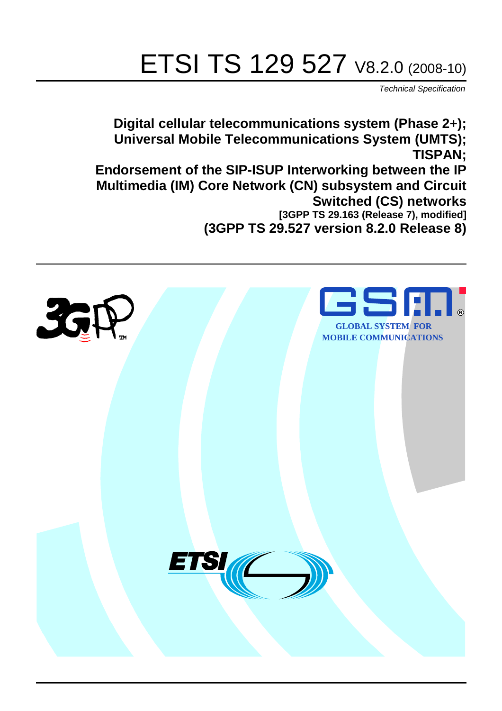# ETSI TS 129 527 V8.2.0 (2008-10)

*Technical Specification*

**Digital cellular telecommunications system (Phase 2+); Universal Mobile Telecommunications System (UMTS); TISPAN; Endorsement of the SIP-ISUP Interworking between the IP Multimedia (IM) Core Network (CN) subsystem and Circuit Switched (CS) networks [3GPP TS 29.163 (Release 7), modified] (3GPP TS 29.527 version 8.2.0 Release 8)**

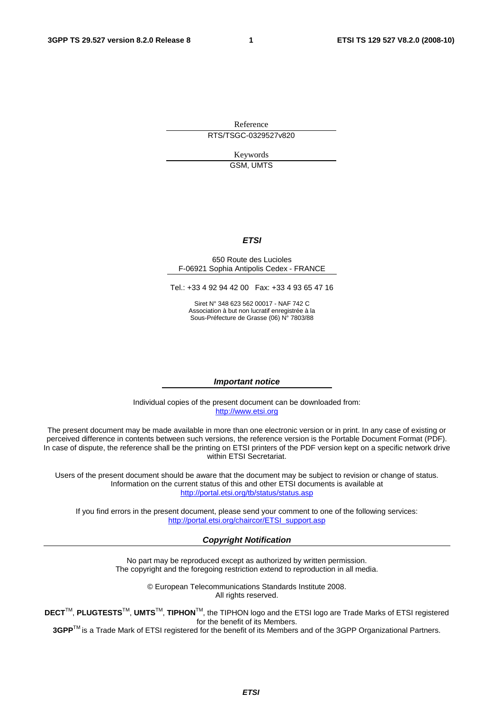Reference RTS/TSGC-0329527v820

> Keywords GSM, UMTS

#### *ETSI*

#### 650 Route des Lucioles F-06921 Sophia Antipolis Cedex - FRANCE

Tel.: +33 4 92 94 42 00 Fax: +33 4 93 65 47 16

Siret N° 348 623 562 00017 - NAF 742 C Association à but non lucratif enregistrée à la Sous-Préfecture de Grasse (06) N° 7803/88

#### *Important notice*

Individual copies of the present document can be downloaded from: [http://www.etsi.org](http://www.etsi.org/)

The present document may be made available in more than one electronic version or in print. In any case of existing or perceived difference in contents between such versions, the reference version is the Portable Document Format (PDF). In case of dispute, the reference shall be the printing on ETSI printers of the PDF version kept on a specific network drive within ETSI Secretariat.

Users of the present document should be aware that the document may be subject to revision or change of status. Information on the current status of this and other ETSI documents is available at <http://portal.etsi.org/tb/status/status.asp>

If you find errors in the present document, please send your comment to one of the following services: [http://portal.etsi.org/chaircor/ETSI\\_support.asp](http://portal.etsi.org/chaircor/ETSI_support.asp)

#### *Copyright Notification*

No part may be reproduced except as authorized by written permission. The copyright and the foregoing restriction extend to reproduction in all media.

> © European Telecommunications Standards Institute 2008. All rights reserved.

**DECT**TM, **PLUGTESTS**TM, **UMTS**TM, **TIPHON**TM, the TIPHON logo and the ETSI logo are Trade Marks of ETSI registered for the benefit of its Members.

**3GPP**TM is a Trade Mark of ETSI registered for the benefit of its Members and of the 3GPP Organizational Partners.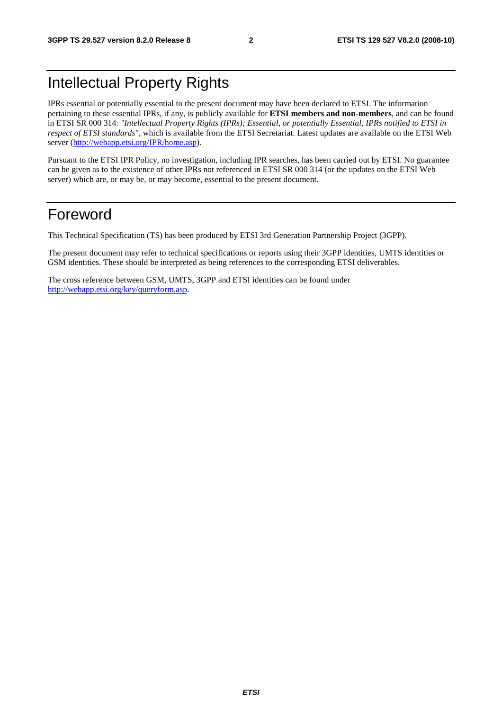### Intellectual Property Rights

IPRs essential or potentially essential to the present document may have been declared to ETSI. The information pertaining to these essential IPRs, if any, is publicly available for **ETSI members and non-members**, and can be found in ETSI SR 000 314: *"Intellectual Property Rights (IPRs); Essential, or potentially Essential, IPRs notified to ETSI in respect of ETSI standards"*, which is available from the ETSI Secretariat. Latest updates are available on the ETSI Web server ([http://webapp.etsi.org/IPR/home.asp\)](http://webapp.etsi.org/IPR/home.asp).

Pursuant to the ETSI IPR Policy, no investigation, including IPR searches, has been carried out by ETSI. No guarantee can be given as to the existence of other IPRs not referenced in ETSI SR 000 314 (or the updates on the ETSI Web server) which are, or may be, or may become, essential to the present document.

### Foreword

This Technical Specification (TS) has been produced by ETSI 3rd Generation Partnership Project (3GPP).

The present document may refer to technical specifications or reports using their 3GPP identities, UMTS identities or GSM identities. These should be interpreted as being references to the corresponding ETSI deliverables.

The cross reference between GSM, UMTS, 3GPP and ETSI identities can be found under [http://webapp.etsi.org/key/queryform.asp.](http://webapp.etsi.org/key/queryform.asp)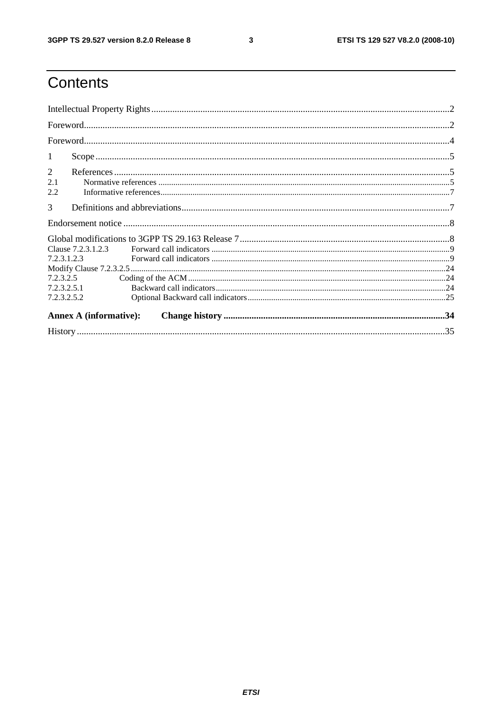$\mathbf{3}$ 

### Contents

| $\mathbf{1}$ |                               |  |
|--------------|-------------------------------|--|
| 2            |                               |  |
| 2.1<br>2.2   |                               |  |
| 3            |                               |  |
|              |                               |  |
|              |                               |  |
|              | Clause 7.2.3.1.2.3            |  |
| 7.2.3.1.2.3  |                               |  |
|              |                               |  |
|              | 7.2.3.2.5                     |  |
| 7.2.3.2.5.1  |                               |  |
| 7.2.3.2.5.2  |                               |  |
|              | <b>Annex A (informative):</b> |  |
|              |                               |  |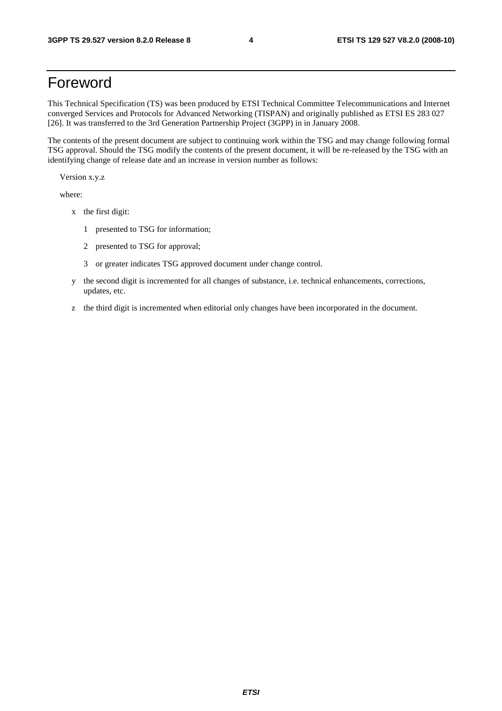### Foreword

This Technical Specification (TS) was been produced by ETSI Technical Committee Telecommunications and Internet converged Services and Protocols for Advanced Networking (TISPAN) and originally published as ETSI ES 283 027 [26]. It was transferred to the 3rd Generation Partnership Project (3GPP) in in January 2008.

The contents of the present document are subject to continuing work within the TSG and may change following formal TSG approval. Should the TSG modify the contents of the present document, it will be re-released by the TSG with an identifying change of release date and an increase in version number as follows:

Version x.y.z

where:

- x the first digit:
	- 1 presented to TSG for information;
	- 2 presented to TSG for approval;
	- 3 or greater indicates TSG approved document under change control.
- y the second digit is incremented for all changes of substance, i.e. technical enhancements, corrections, updates, etc.
- z the third digit is incremented when editorial only changes have been incorporated in the document.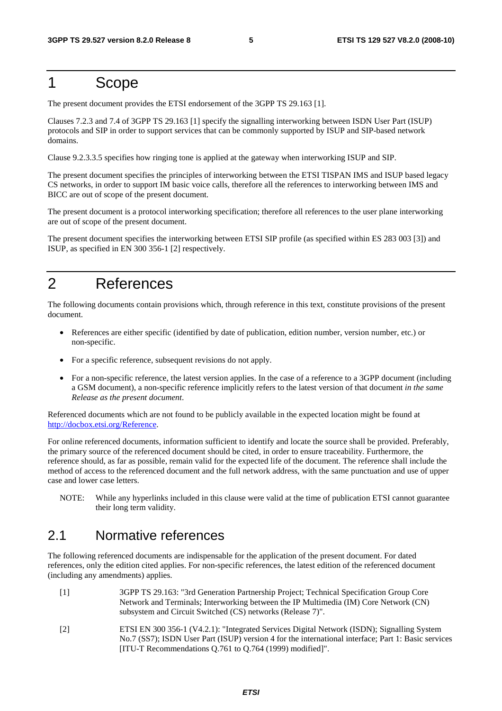### 1 Scope

The present document provides the ETSI endorsement of the 3GPP TS 29.163 [1].

Clauses 7.2.3 and 7.4 of 3GPP TS 29.163 [1] specify the signalling interworking between ISDN User Part (ISUP) protocols and SIP in order to support services that can be commonly supported by ISUP and SIP-based network domains.

Clause 9.2.3.3.5 specifies how ringing tone is applied at the gateway when interworking ISUP and SIP.

The present document specifies the principles of interworking between the ETSI TISPAN IMS and ISUP based legacy CS networks, in order to support IM basic voice calls, therefore all the references to interworking between IMS and BICC are out of scope of the present document.

The present document is a protocol interworking specification; therefore all references to the user plane interworking are out of scope of the present document.

The present document specifies the interworking between ETSI SIP profile (as specified within ES 283 003 [3]) and ISUP, as specified in EN 300 356-1 [2] respectively.

### 2 References

The following documents contain provisions which, through reference in this text, constitute provisions of the present document.

- References are either specific (identified by date of publication, edition number, version number, etc.) or non-specific.
- For a specific reference, subsequent revisions do not apply.
- For a non-specific reference, the latest version applies. In the case of a reference to a 3GPP document (including a GSM document), a non-specific reference implicitly refers to the latest version of that document *in the same Release as the present document*.

Referenced documents which are not found to be publicly available in the expected location might be found at <http://docbox.etsi.org/Reference>.

For online referenced documents, information sufficient to identify and locate the source shall be provided. Preferably, the primary source of the referenced document should be cited, in order to ensure traceability. Furthermore, the reference should, as far as possible, remain valid for the expected life of the document. The reference shall include the method of access to the referenced document and the full network address, with the same punctuation and use of upper case and lower case letters.

NOTE: While any hyperlinks included in this clause were valid at the time of publication ETSI cannot guarantee their long term validity.

### 2.1 Normative references

The following referenced documents are indispensable for the application of the present document. For dated references, only the edition cited applies. For non-specific references, the latest edition of the referenced document (including any amendments) applies.

- [1] 3GPP TS 29.163: "3rd Generation Partnership Project; Technical Specification Group Core Network and Terminals; Interworking between the IP Multimedia (IM) Core Network (CN) subsystem and Circuit Switched (CS) networks (Release 7)".
- [2] ETSI EN 300 356-1 (V4.2.1): "Integrated Services Digital Network (ISDN); Signalling System No.7 (SS7); ISDN User Part (ISUP) version 4 for the international interface; Part 1: Basic services [ITU-T Recommendations Q.761 to Q.764 (1999) modified]".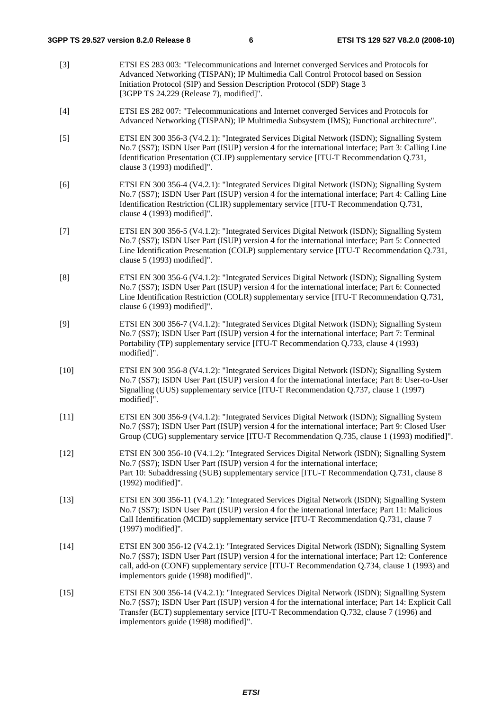[3] ETSI ES 283 003: "Telecommunications and Internet converged Services and Protocols for Advanced Networking (TISPAN); IP Multimedia Call Control Protocol based on Session Initiation Protocol (SIP) and Session Description Protocol (SDP) Stage 3 [3GPP TS 24.229 (Release 7), modified]". [4] ETSI ES 282 007: "Telecommunications and Internet converged Services and Protocols for Advanced Networking (TISPAN); IP Multimedia Subsystem (IMS); Functional architecture". [5] ETSI EN 300 356-3 (V4.2.1): "Integrated Services Digital Network (ISDN); Signalling System No.7 (SS7); ISDN User Part (ISUP) version 4 for the international interface; Part 3: Calling Line Identification Presentation (CLIP) supplementary service [ITU-T Recommendation Q.731, clause 3 (1993) modified]". [6] ETSI EN 300 356-4 (V4.2.1): "Integrated Services Digital Network (ISDN); Signalling System No.7 (SS7); ISDN User Part (ISUP) version 4 for the international interface; Part 4: Calling Line Identification Restriction (CLIR) supplementary service [ITU-T Recommendation Q.731, clause 4 (1993) modified]". [7] ETSI EN 300 356-5 (V4.1.2): "Integrated Services Digital Network (ISDN); Signalling System No.7 (SS7); ISDN User Part (ISUP) version 4 for the international interface; Part 5: Connected Line Identification Presentation (COLP) supplementary service [ITU-T Recommendation Q.731, clause 5 (1993) modified]". [8] ETSI EN 300 356-6 (V4.1.2): "Integrated Services Digital Network (ISDN); Signalling System No.7 (SS7); ISDN User Part (ISUP) version 4 for the international interface; Part 6: Connected Line Identification Restriction (COLR) supplementary service [ITU-T Recommendation Q.731, clause 6 (1993) modified]". [9] ETSI EN 300 356-7 (V4.1.2): "Integrated Services Digital Network (ISDN); Signalling System No.7 (SS7); ISDN User Part (ISUP) version 4 for the international interface; Part 7: Terminal Portability (TP) supplementary service [ITU-T Recommendation Q.733, clause 4 (1993) modified]". [10] ETSI EN 300 356-8 (V4.1.2): "Integrated Services Digital Network (ISDN); Signalling System No.7 (SS7); ISDN User Part (ISUP) version 4 for the international interface; Part 8: User-to-User Signalling (UUS) supplementary service [ITU-T Recommendation Q.737, clause 1 (1997) modified]". [11] ETSI EN 300 356-9 (V4.1.2): "Integrated Services Digital Network (ISDN); Signalling System No.7 (SS7); ISDN User Part (ISUP) version 4 for the international interface; Part 9: Closed User Group (CUG) supplementary service [ITU-T Recommendation Q.735, clause 1 (1993) modified]". [12] ETSI EN 300 356-10 (V4.1.2): "Integrated Services Digital Network (ISDN); Signalling System No.7 (SS7); ISDN User Part (ISUP) version 4 for the international interface; Part 10: Subaddressing (SUB) supplementary service [ITU-T Recommendation Q.731, clause 8 (1992) modified]". [13] ETSI EN 300 356-11 (V4.1.2): "Integrated Services Digital Network (ISDN); Signalling System No.7 (SS7); ISDN User Part (ISUP) version 4 for the international interface; Part 11: Malicious Call Identification (MCID) supplementary service [ITU-T Recommendation Q.731, clause 7 (1997) modified]". [14] ETSI EN 300 356-12 (V4.2.1): "Integrated Services Digital Network (ISDN); Signalling System No.7 (SS7); ISDN User Part (ISUP) version 4 for the international interface; Part 12: Conference call, add-on (CONF) supplementary service [ITU-T Recommendation Q.734, clause 1 (1993) and implementors guide (1998) modified]". [15] ETSI EN 300 356-14 (V4.2.1): "Integrated Services Digital Network (ISDN); Signalling System No.7 (SS7); ISDN User Part (ISUP) version 4 for the international interface; Part 14: Explicit Call Transfer (ECT) supplementary service [ITU-T Recommendation Q.732, clause 7 (1996) and implementors guide (1998) modified]".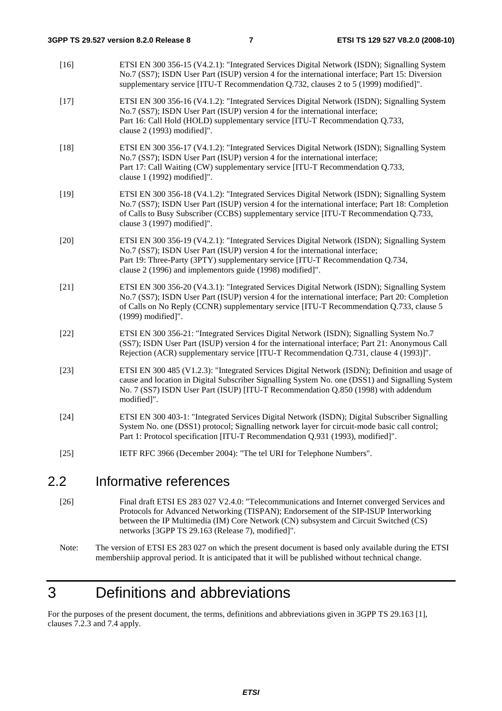| $\sim$ | $\mathbf{L} = \mathbf{L} \times \mathbf{L}$ and $\mathbf{L} = \mathbf{L} \times \mathbf{L}$                                                                                                                                                                                                                                |
|--------|----------------------------------------------------------------------------------------------------------------------------------------------------------------------------------------------------------------------------------------------------------------------------------------------------------------------------|
| $[25]$ | IETF RFC 3966 (December 2004): "The tel URI for Telephone Numbers".                                                                                                                                                                                                                                                        |
| $[24]$ | ETSI EN 300 403-1: "Integrated Services Digital Network (ISDN); Digital Subscriber Signalling<br>System No. one (DSS1) protocol; Signalling network layer for circuit-mode basic call control;<br>Part 1: Protocol specification [ITU-T Recommendation Q.931 (1993), modified]".                                           |
| $[23]$ | ETSI EN 300 485 (V1.2.3): "Integrated Services Digital Network (ISDN); Definition and usage of<br>cause and location in Digital Subscriber Signalling System No. one (DSS1) and Signalling System<br>No. 7 (SS7) ISDN User Part (ISUP) [ITU-T Recommendation Q.850 (1998) with addendum<br>modified]".                     |
| $[22]$ | ETSI EN 300 356-21: "Integrated Services Digital Network (ISDN); Signalling System No.7<br>(SS7); ISDN User Part (ISUP) version 4 for the international interface; Part 21: Anonymous Call<br>Rejection (ACR) supplementary service [ITU-T Recommendation Q.731, clause 4 (1993)]".                                        |
| $[21]$ | ETSI EN 300 356-20 (V4.3.1): "Integrated Services Digital Network (ISDN); Signalling System<br>No.7 (SS7); ISDN User Part (ISUP) version 4 for the international interface; Part 20: Completion<br>of Calls on No Reply (CCNR) supplementary service [ITU-T Recommendation Q.733, clause 5<br>(1999) modified]".           |
| $[20]$ | ETSI EN 300 356-19 (V4.2.1): "Integrated Services Digital Network (ISDN); Signalling System<br>No.7 (SS7); ISDN User Part (ISUP) version 4 for the international interface;<br>Part 19: Three-Party (3PTY) supplementary service [ITU-T Recommendation Q.734,<br>clause 2 (1996) and implementors guide (1998) modified]". |
| $[19]$ | ETSI EN 300 356-18 (V4.1.2): "Integrated Services Digital Network (ISDN); Signalling System<br>No.7 (SS7); ISDN User Part (ISUP) version 4 for the international interface; Part 18: Completion<br>of Calls to Busy Subscriber (CCBS) supplementary service [ITU-T Recommendation Q.733,<br>clause 3 (1997) modified]".    |
| $[18]$ | ETSI EN 300 356-17 (V4.1.2): "Integrated Services Digital Network (ISDN); Signalling System<br>No.7 (SS7); ISDN User Part (ISUP) version 4 for the international interface;<br>Part 17: Call Waiting (CW) supplementary service [ITU-T Recommendation Q.733,<br>clause 1 (1992) modified]".                                |
| $[17]$ | ETSI EN 300 356-16 (V4.1.2): "Integrated Services Digital Network (ISDN); Signalling System<br>No.7 (SS7); ISDN User Part (ISUP) version 4 for the international interface;<br>Part 16: Call Hold (HOLD) supplementary service [ITU-T Recommendation Q.733,<br>clause 2 (1993) modified]".                                 |
| $[16]$ | ETSI EN 300 356-15 (V4.2.1): "Integrated Services Digital Network (ISDN); Signalling System<br>No.7 (SS7); ISDN User Part (ISUP) version 4 for the international interface; Part 15: Diversion<br>supplementary service [ITU-T Recommendation Q.732, clauses 2 to 5 (1999) modified]".                                     |

### 2.2 Informative references

- [26] Final draft ETSI ES 283 027 V2.4.0: "Telecommunications and Internet converged Services and Protocols for Advanced Networking (TISPAN); Endorsement of the SIP-ISUP Interworking between the IP Multimedia (IM) Core Network (CN) subsystem and Circuit Switched (CS) networks [3GPP TS 29.163 (Release 7), modified]".
- Note: The version of ETSI ES 283 027 on which the present document is based only available during the ETSI membershiip approval period. It is anticipated that it will be published without technical change.

### 3 Definitions and abbreviations

For the purposes of the present document, the terms, definitions and abbreviations given in 3GPP TS 29.163 [1], clauses 7.2.3 and 7.4 apply.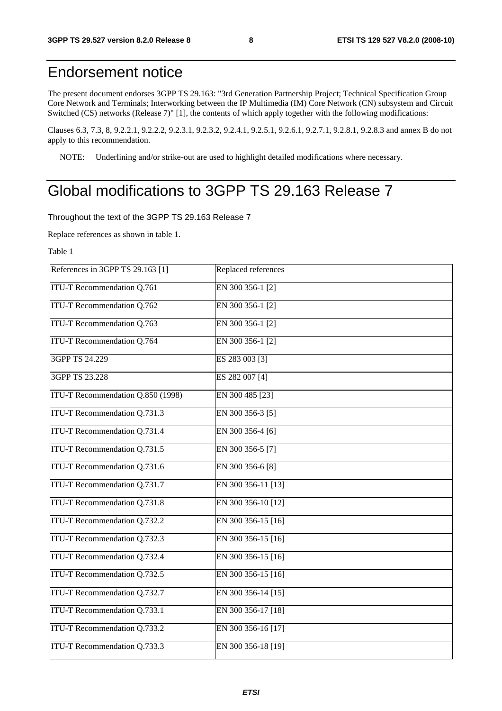### Endorsement notice

The present document endorses 3GPP TS 29.163: "3rd Generation Partnership Project; Technical Specification Group Core Network and Terminals; Interworking between the IP Multimedia (IM) Core Network (CN) subsystem and Circuit Switched (CS) networks (Release 7)" [1], the contents of which apply together with the following modifications:

Clauses 6.3, 7.3, 8, 9.2.2.1, 9.2.2.2, 9.2.3.1, 9.2.3.2, 9.2.4.1, 9.2.5.1, 9.2.6.1, 9.2.7.1, 9.2.8.1, 9.2.8.3 and annex B do not apply to this recommendation.

NOTE: Underlining and/or strike-out are used to highlight detailed modifications where necessary.

### Global modifications to 3GPP TS 29.163 Release 7

Throughout the text of the 3GPP TS 29.163 Release 7

Replace references as shown in table 1.

Table 1

| References in 3GPP TS 29.163 [1]    | Replaced references |
|-------------------------------------|---------------------|
| ITU-T Recommendation Q.761          | EN 300 356-1 [2]    |
| ITU-T Recommendation Q.762          | EN 300 356-1 [2]    |
| ITU-T Recommendation Q.763          | EN 300 356-1 [2]    |
| ITU-T Recommendation Q.764          | EN 300 356-1 [2]    |
| 3GPP TS 24.229                      | ES 283 003 [3]      |
| 3GPP TS 23.228                      | ES 282 007 [4]      |
| ITU-T Recommendation Q.850 (1998)   | EN 300 485 [23]     |
| ITU-T Recommendation Q.731.3        | EN 300 356-3 [5]    |
| ITU-T Recommendation Q.731.4        | EN 300 356-4 [6]    |
| ITU-T Recommendation Q.731.5        | EN 300 356-5 [7]    |
| ITU-T Recommendation Q.731.6        | EN 300 356-6 [8]    |
| <b>ITU-T Recommendation Q.731.7</b> | EN 300 356-11 [13]  |
| ITU-T Recommendation Q.731.8        | EN 300 356-10 [12]  |
| ITU-T Recommendation Q.732.2        | EN 300 356-15 [16]  |
| ITU-T Recommendation Q.732.3        | EN 300 356-15 [16]  |
| ITU-T Recommendation Q.732.4        | EN 300 356-15 [16]  |
| ITU-T Recommendation Q.732.5        | EN 300 356-15 [16]  |
| ITU-T Recommendation Q.732.7        | EN 300 356-14 [15]  |
| ITU-T Recommendation Q.733.1        | EN 300 356-17 [18]  |
| ITU-T Recommendation Q.733.2        | EN 300 356-16 [17]  |
| ITU-T Recommendation Q.733.3        | EN 300 356-18 [19]  |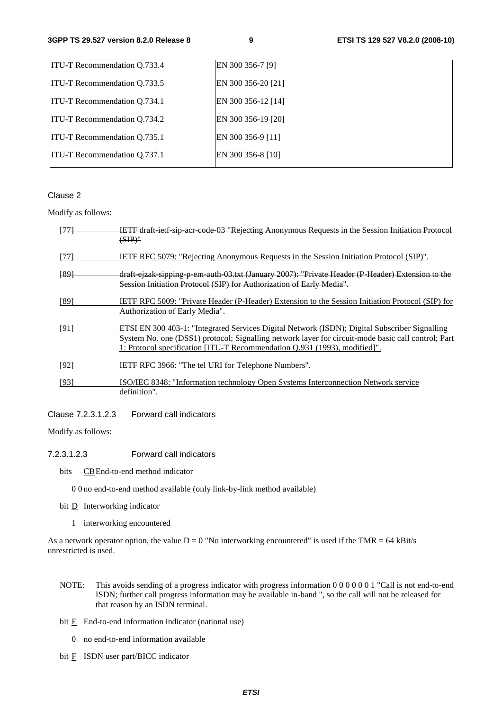| <b>ITU-T Recommendation Q.733.4</b> | EN 300 356-7 [9]   |
|-------------------------------------|--------------------|
| <b>ITU-T Recommendation Q.733.5</b> | EN 300 356-20 [21] |
| <b>ITU-T Recommendation 0.734.1</b> | EN 300 356-12 [14] |
| <b>ITU-T Recommendation Q.734.2</b> | EN 300 356-19 [20] |
| <b>ITU-T Recommendation Q.735.1</b> | EN 300 356-9 [11]  |
| <b>ITU-T Recommendation Q.737.1</b> | EN 300 356-8 [10]  |

#### Clause 2

Modify as follows:

| $+77+$          | IETF draft ietf sip acr code 03 "Rejecting Anonymous Requests in the Session Initiation Protocol<br>$(SIP)$ "                                                                                                                                                                    |
|-----------------|----------------------------------------------------------------------------------------------------------------------------------------------------------------------------------------------------------------------------------------------------------------------------------|
| [77]            | <b>IETF RFC 5079: "Rejecting Anonymous Requests in the Session Initiation Protocol (SIP)".</b>                                                                                                                                                                                   |
| <del>[89]</del> | draft ejzak sipping p em auth 03.txt (January 2007): "Private Header (P Header) Extension to the<br>Session Initiation Protocol (SIP) for Authorization of Early Media".                                                                                                         |
| [89]            | IETF RFC 5009: "Private Header (P-Header) Extension to the Session Initiation Protocol (SIP) for<br>Authorization of Early Media".                                                                                                                                               |
| [91]            | ETSI EN 300 403-1: "Integrated Services Digital Network (ISDN); Digital Subscriber Signalling<br>System No. one (DSS1) protocol; Signalling network layer for circuit-mode basic call control; Part<br>1: Protocol specification [ITU-T Recommendation Q.931 (1993), modified]". |
| [92]            | IETF RFC 3966: "The tel URI for Telephone Numbers".                                                                                                                                                                                                                              |
| [93]            | ISO/IEC 8348: "Information technology Open Systems Interconnection Network service<br>definition".                                                                                                                                                                               |

Clause 7.2.3.1.2.3 Forward call indicators

Modify as follows:

7.2.3.1.2.3 Forward call indicators

- bits CB End-to-end method indicator
	- 0 0 no end-to-end method available (only link-by-link method available)
- bit **D** Interworking indicator
	- 1 interworking encountered

As a network operator option, the value  $D = 0$  "No interworking encountered" is used if the TMR = 64 kBit/s unrestricted is used.

- NOTE: This avoids sending of a progress indicator with progress information 0 0 0 0 0 0 1 "Call is not end-to-end ISDN; further call progress information may be available in-band ", so the call will not be released for that reason by an ISDN terminal.
- bit  $E$  End-to-end information indicator (national use)
	- 0 no end-to-end information available
- bit  $\overline{F}$  ISDN user part/BICC indicator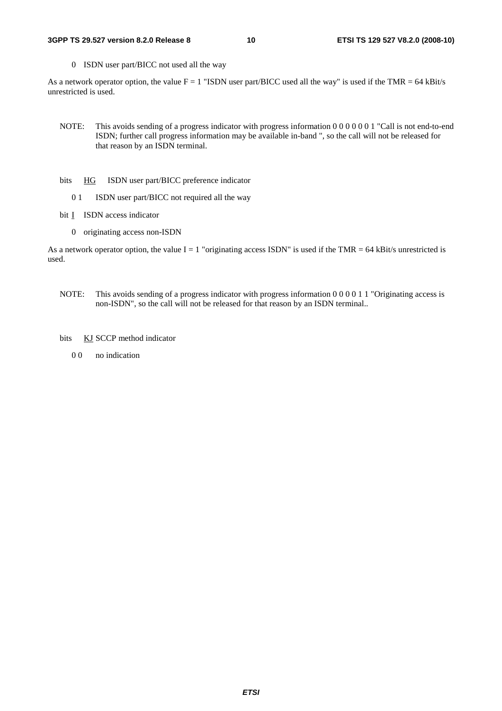#### **3GPP TS 29.527 version 8.2.0 Release 8 10 ETSI TS 129 527 V8.2.0 (2008-10)**

0 ISDN user part/BICC not used all the way

As a network operator option, the value  $F = 1$  "ISDN user part/BICC used all the way" is used if the TMR = 64 kBit/s unrestricted is used.

- NOTE: This avoids sending of a progress indicator with progress information 0 0 0 0 0 0 1 "Call is not end-to-end ISDN; further call progress information may be available in-band ", so the call will not be released for that reason by an ISDN terminal.
- bits HG ISDN user part/BICC preference indicator
	- 0 1 ISDN user part/BICC not required all the way
- bit **I** ISDN access indicator
	- 0 originating access non-ISDN

As a network operator option, the value  $I = 1$  "originating access ISDN" is used if the TMR = 64 kBit/s unrestricted is used.

- NOTE: This avoids sending of a progress indicator with progress information 0 0 0 0 1 1 "Originating access is non-ISDN", so the call will not be released for that reason by an ISDN terminal..
- bits KJ SCCP method indicator
	- 0 0 no indication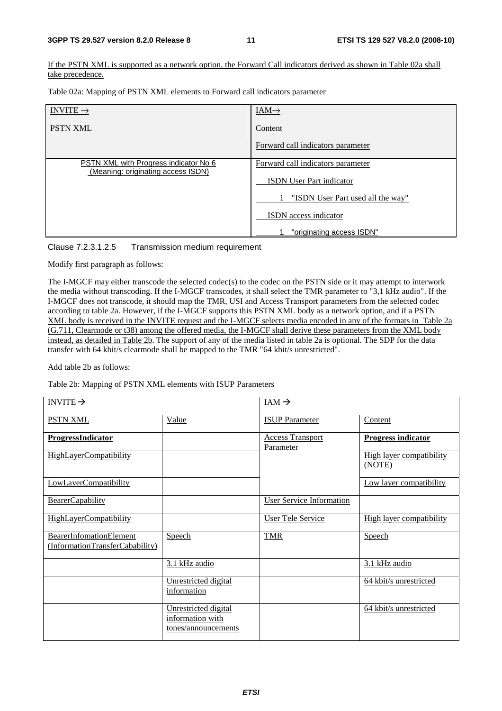If the PSTN XML is supported as a network option, the Forward Call indicators derived as shown in Table 02a shall take precedence.

Table 02a: Mapping of PSTN XML elements to Forward call indicators parameter

| INVITE $\rightarrow$                                                        | $IAM\rightarrow$                  |
|-----------------------------------------------------------------------------|-----------------------------------|
| <b>PSTN XML</b>                                                             | Content                           |
|                                                                             | Forward call indicators parameter |
| PSTN XML with Progress indicator No 6<br>(Meaning: originating access ISDN) | Forward call indicators parameter |
|                                                                             | <b>ISDN</b> User Part indicator   |
|                                                                             | "ISDN User Part used all the way" |
|                                                                             | <b>ISDN</b> access indicator      |
|                                                                             | "originating access ISDN"         |

#### Clause 7.2.3.1.2.5 Transmission medium requirement

Modify first paragraph as follows:

The I-MGCF may either transcode the selected codec(s) to the codec on the PSTN side or it may attempt to interwork the media without transcoding. If the I-MGCF transcodes, it shall select the TMR parameter to "3,1 kHz audio". If the I-MGCF does not transcode, it should map the TMR, USI and Access Transport parameters from the selected codec according to table 2a. However, if the I-MGCF supports this PSTN XML body as a network option, and if a PSTN XML body is received in the INVITE request and the I-MGCF selects media encoded in any of the formats in Table 2a (G.711, Clearmode or t38) among the offered media, the I-MGCF shall derive these parameters from the XML body instead, as detailed in Table 2b. The support of any of the media listed in table 2a is optional. The SDP for the data transfer with 64 kbit/s clearmode shall be mapped to the TMR "64 kbit/s unrestricted".

Add table 2b as follows:

Table 2b: Mapping of PSTN XML elements with ISUP Parameters

| INVITE $\rightarrow$                                              |                                                                 | $IAM \rightarrow$                    |                                    |
|-------------------------------------------------------------------|-----------------------------------------------------------------|--------------------------------------|------------------------------------|
| <b>PSTN XML</b>                                                   | Value                                                           | <b>ISUP Parameter</b>                | Content                            |
| <b>ProgressIndicator</b>                                          |                                                                 | <b>Access Transport</b><br>Parameter | <b>Progress indicator</b>          |
| <b>HighLayerCompatibility</b>                                     |                                                                 |                                      | High layer compatibility<br>(NOTE) |
| LowLayerCompatibility                                             |                                                                 |                                      | Low layer compatibility            |
| BearerCapability                                                  |                                                                 | <b>User Service Information</b>      |                                    |
| <b>HighLayerCompatibility</b>                                     |                                                                 | <b>User Tele Service</b>             | High layer compatibility           |
| <b>BearerInfomationElement</b><br>(InformationTransferCabability) | Speech                                                          | <b>TMR</b>                           | Speech                             |
|                                                                   | 3.1 kHz audio                                                   |                                      | 3.1 kHz audio                      |
|                                                                   | Unrestricted digital<br>information                             |                                      | 64 kbit/s unrestricted             |
|                                                                   | Unrestricted digital<br>information with<br>tones/announcements |                                      | 64 kbit/s unrestricted             |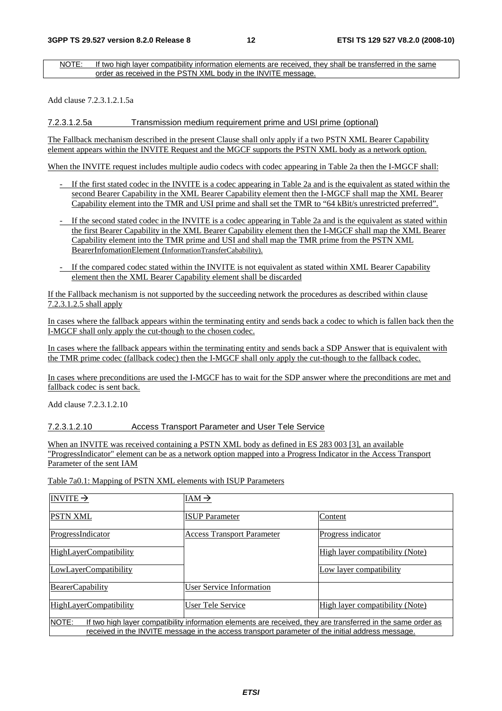NOTE: If two high layer compatibility information elements are received, they shall be transferred in the same order as received in the PSTN XML body in the INVITE message.

Add clause 7.2.3.1.2.1.5a

7.2.3.1.2.5a Transmission medium requirement prime and USI prime (optional)

The Fallback mechanism described in the present Clause shall only apply if a two PSTN XML Bearer Capability element appears within the INVITE Request and the MGCF supports the PSTN XML body as a network option.

When the INVITE request includes multiple audio codecs with codec appearing in Table 2a then the I-MGCF shall:

- If the first stated codec in the INVITE is a codec appearing in Table 2a and is the equivalent as stated within the second Bearer Capability in the XML Bearer Capability element then the I-MGCF shall map the XML Bearer Capability element into the TMR and USI prime and shall set the TMR to "64 kBit/s unrestricted preferred".
- If the second stated codec in the INVITE is a codec appearing in Table 2a and is the equivalent as stated within the first Bearer Capability in the XML Bearer Capability element then the I-MGCF shall map the XML Bearer Capability element into the TMR prime and USI and shall map the TMR prime from the PSTN XML BearerInfomationElement (InformationTransferCabability).
- If the compared codec stated within the INVITE is not equivalent as stated within XML Bearer Capability element then the XML Bearer Capability element shall be discarded

If the Fallback mechanism is not supported by the succeeding network the procedures as described within clause 7.2.3.1.2.5 shall apply

In cases where the fallback appears within the terminating entity and sends back a codec to which is fallen back then the I-MGCF shall only apply the cut-though to the chosen codec.

In cases where the fallback appears within the terminating entity and sends back a SDP Answer that is equivalent with the TMR prime codec (fallback codec) then the I-MGCF shall only apply the cut-though to the fallback codec.

In cases where preconditions are used the I-MGCF has to wait for the SDP answer where the preconditions are met and fallback codec is sent back.

Add clause 7.2.3.1.2.10

#### 7.2.3.1.2.10 Access Transport Parameter and User Tele Service

When an INVITE was received containing a PSTN XML body as defined in ES 283 003 [3], an available "ProgressIndicator" element can be as a network option mapped into a Progress Indicator in the Access Transport Parameter of the sent IAM

Table 7a0.1: Mapping of PSTN XML elements with ISUP Parameters

| INVITE $\rightarrow$                                                                                                                                                                                                      | $IAM \rightarrow$                 |                                 |
|---------------------------------------------------------------------------------------------------------------------------------------------------------------------------------------------------------------------------|-----------------------------------|---------------------------------|
| <b>PSTN XML</b>                                                                                                                                                                                                           | <b>ISUP</b> Parameter             | Content                         |
| ProgressIndicator                                                                                                                                                                                                         | <b>Access Transport Parameter</b> | Progress indicator              |
| HighLayerCompatibility                                                                                                                                                                                                    |                                   | High layer compatibility (Note) |
| LowLayerCompatibility                                                                                                                                                                                                     |                                   | Low layer compatibility         |
| <b>BearerCapability</b>                                                                                                                                                                                                   | User Service Information          |                                 |
| HighLayerCompatibility                                                                                                                                                                                                    | User Tele Service                 | High layer compatibility (Note) |
| NOTE:<br>If two high layer compatibility information elements are received, they are transferred in the same order as<br>received in the INVITE message in the access transport parameter of the initial address message. |                                   |                                 |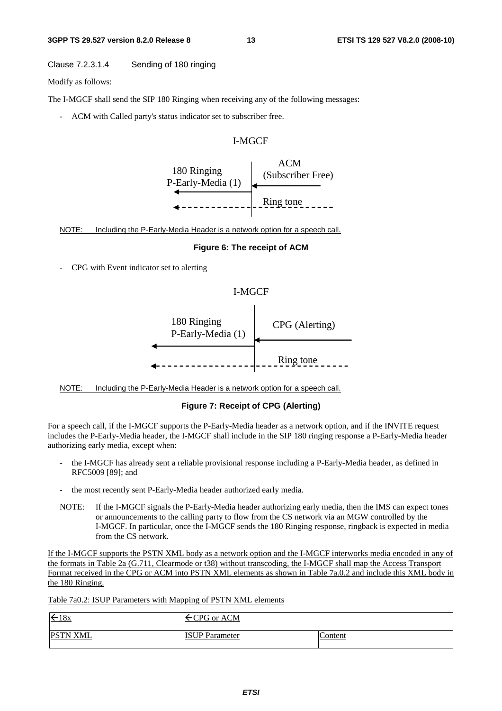#### Clause 7.2.3.1.4 Sending of 180 ringing

Modify as follows:

The I-MGCF shall send the SIP 180 Ringing when receiving any of the following messages:

- ACM with Called party's status indicator set to subscriber free.

#### I-MGCF



NOTE: Including the P-Early-Media Header is a network option for a speech call.

#### **Figure 6: The receipt of ACM**

- CPG with Event indicator set to alerting

#### I-MGCF



NOTE: Including the P-Early-Media Header is a network option for a speech call.

#### **Figure 7: Receipt of CPG (Alerting)**

For a speech call, if the I-MGCF supports the P-Early-Media header as a network option, and if the INVITE request includes the P-Early-Media header, the I-MGCF shall include in the SIP 180 ringing response a P-Early-Media header authorizing early media, except when:

- the I-MGCF has already sent a reliable provisional response including a P-Early-Media header, as defined in RFC5009 [89]; and
- the most recently sent P-Early-Media header authorized early media.
- NOTE: If the I-MGCF signals the P-Early-Media header authorizing early media, then the IMS can expect tones or announcements to the calling party to flow from the CS network via an MGW controlled by the I-MGCF. In particular, once the I-MGCF sends the 180 Ringing response, ringback is expected in media from the CS network.

If the I-MGCF supports the PSTN XML body as a network option and the I-MGCF interworks media encoded in any of the formats in Table 2a (G.711, Clearmode or t38) without transcoding, the I-MGCF shall map the Access Transport Format received in the CPG or ACM into PSTN XML elements as shown in Table 7a.0.2 and include this XML body in the 180 Ringing.

Table 7a0.2: ISUP Parameters with Mapping of PSTN XML elements

| $\xi$ 18x       | $\leftarrow$ CPG or ACM |         |
|-----------------|-------------------------|---------|
| <b>PSTN XML</b> | <b>ISUP</b> Parameter   | Content |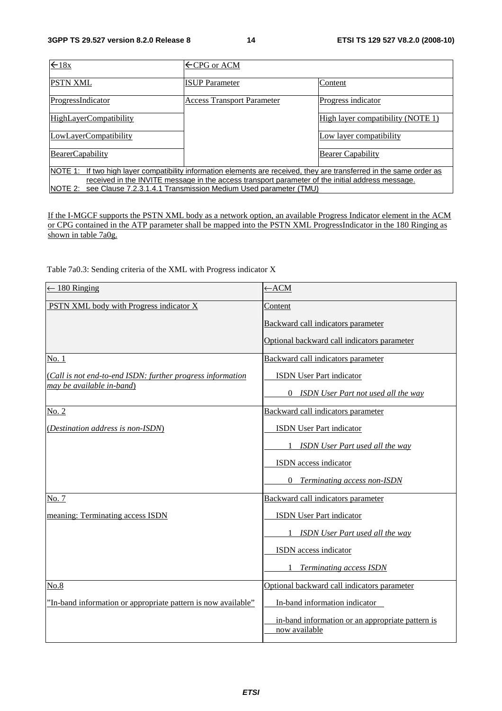| $\leftarrow$ 18x                                                                                                        | $\leftarrow$ CPG or ACM           |                                   |
|-------------------------------------------------------------------------------------------------------------------------|-----------------------------------|-----------------------------------|
| <b>PSTN XML</b>                                                                                                         | <b>ISUP</b> Parameter             | Content                           |
| ProgressIndicator                                                                                                       | <b>Access Transport Parameter</b> | Progress indicator                |
| <b>HighLayerCompatibility</b>                                                                                           |                                   | High layer compatibility (NOTE 1) |
| LowLayerCompatibility                                                                                                   |                                   | Low layer compatibility           |
| <b>BearerCapability</b>                                                                                                 |                                   | <b>Bearer Capability</b>          |
| If two high layer compatibility information elements are received, they are transferred in the same order as<br>NOTE 1: |                                   |                                   |
| received in the INVITE message in the access transport parameter of the initial address message.                        |                                   |                                   |
| see Clause 7.2.3.1.4.1 Transmission Medium Used parameter (TMU)<br>NOTE 2:                                              |                                   |                                   |

If the I-MGCF supports the PSTN XML body as a network option, an available Progress Indicator element in the ACM or CPG contained in the ATP parameter shall be mapped into the PSTN XML ProgressIndicator in the 180 Ringing as shown in table 7a0g.

Table 7a0.3: Sending criteria of the XML with Progress indicator X

| $\leftarrow$ 180 Ringing                                      | $\leftarrow$ ACM                                                  |
|---------------------------------------------------------------|-------------------------------------------------------------------|
| PSTN XML body with Progress indicator X                       | Content                                                           |
|                                                               | Backward call indicators parameter                                |
|                                                               | Optional backward call indicators parameter                       |
| No. 1                                                         | Backward call indicators parameter                                |
| (Call is not end-to-end ISDN: further progress information    | ISDN User Part indicator                                          |
| may be available in-band)                                     | <b>ISDN</b> User Part not used all the way<br>$\Omega$            |
| No. 2                                                         | Backward call indicators parameter                                |
| (Destination address is non-ISDN)                             | <b>ISDN</b> User Part indicator                                   |
|                                                               | <b>ISDN</b> User Part used all the way<br>1                       |
|                                                               | ISDN access indicator                                             |
|                                                               | $\Omega$<br>Terminating access non-ISDN                           |
| No. 7                                                         | Backward call indicators parameter                                |
| meaning: Terminating access ISDN                              | ISDN User Part indicator                                          |
|                                                               | ISDN User Part used all the way                                   |
|                                                               | ISDN access indicator                                             |
|                                                               | <b>Terminating access ISDN</b>                                    |
| No.8                                                          | Optional backward call indicators parameter                       |
| "In-band information or appropriate pattern is now available" | In-band information indicator                                     |
|                                                               | in-band information or an appropriate pattern is<br>now available |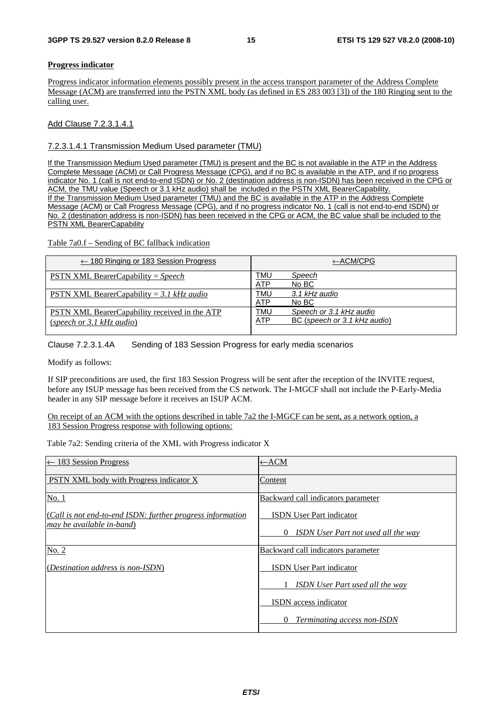#### **Progress indicator**

Progress indicator information elements possibly present in the access transport parameter of the Address Complete Message (ACM) are transferred into the PSTN XML body (as defined in ES 283 003 [3]) of the 180 Ringing sent to the calling user.

Add Clause 7.2.3.1.4.1

7.2.3.1.4.1 Transmission Medium Used parameter (TMU)

If the Transmission Medium Used parameter (TMU) is present and the BC is not available in the ATP in the Address Complete Message (ACM) or Call Progress Message (CPG), and if no BC is available in the ATP, and if no progress indicator No. 1 (call is not end-to-end ISDN) or No. 2 (destination address is non-ISDN) has been received in the CPG or ACM, the TMU value (Speech or 3.1 kHz audio) shall be included in the PSTN XML BearerCapability. If the Transmission Medium Used parameter (TMU) and the BC is available in the ATP in the Address Complete Message (ACM) or Call Progress Message (CPG), and if no progress indicator No. 1 (call is not end-to-end ISDN) or No. 2 (destination address is non-ISDN) has been received in the CPG or ACM, the BC value shall be included to the PSTN XML BearerCapability

Table 7a0.f – Sending of BC fallback indication

| $\leftarrow$ 180 Ringing or 183 Session Progress                           | $\leftarrow$ ACM/CPG                                                         |
|----------------------------------------------------------------------------|------------------------------------------------------------------------------|
| <b>PSTN XML BearerCapability</b> = Speech                                  | TMU<br>Speech<br>No BC<br>ATP                                                |
| PSTN XML BearerCapability = 3.1 kHz audio                                  | TMU<br>3.1 kHz audio<br>ATP<br>No BC                                         |
| PSTN XML BearerCapability received in the ATP<br>(speech or 3.1 kHz audio) | TMU<br>Speech or 3.1 kHz audio<br>BC (speech or 3.1 kHz audio)<br><b>ATP</b> |

Clause 7.2.3.1.4A Sending of 183 Session Progress for early media scenarios

Modify as follows:

If SIP preconditions are used, the first 183 Session Progress will be sent after the reception of the INVITE request, before any ISUP message has been received from the CS network. The I-MGCF shall not include the P-Early-Media header in any SIP message before it receives an ISUP ACM.

On receipt of an ACM with the options described in table 7a2 the I-MGCF can be sent, as a network option, a 183 Session Progress response with following options:

Table 7a2: Sending criteria of the XML with Progress indicator X

| $\leftarrow$ 183 Session Progress                                                       | $\leftarrow$ ACM                                             |
|-----------------------------------------------------------------------------------------|--------------------------------------------------------------|
| PSTN XML body with Progress indicator X                                                 | Content                                                      |
| No. 1                                                                                   | Backward call indicators parameter                           |
| (Call is not end-to-end ISDN: further progress information<br>may be available in-band) | <b>ISDN</b> User Part indicator                              |
|                                                                                         | <b>ISDN</b> User Part not used all the way<br>$\overline{0}$ |
| No. 2                                                                                   | Backward call indicators parameter                           |
| ( <i>Destination address is non-ISDN</i> )                                              | <b>ISDN</b> User Part indicator                              |
|                                                                                         | <b>ISDN</b> User Part used all the way                       |
|                                                                                         | <b>ISDN</b> access indicator                                 |
|                                                                                         | Terminating access non-ISDN<br>$\theta$                      |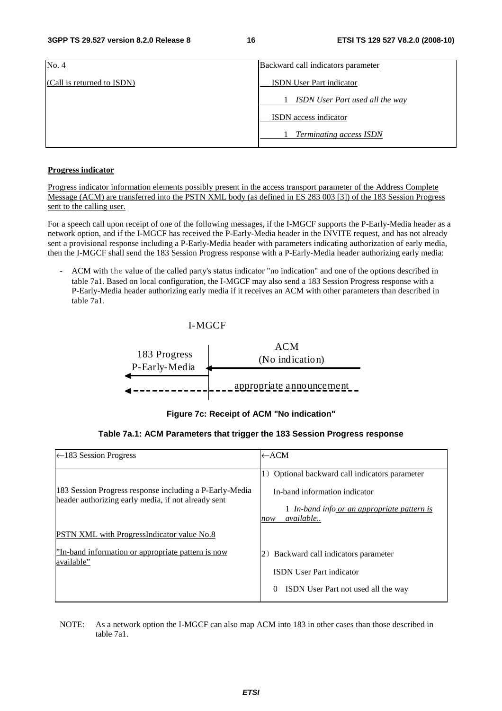| No. 4                      | Backward call indicators parameter     |
|----------------------------|----------------------------------------|
| (Call is returned to ISDN) | <b>ISDN</b> User Part indicator        |
|                            | <b>ISDN</b> User Part used all the way |
|                            | ISDN access indicator                  |
|                            | <b>Terminating access ISDN</b>         |

#### **Progress indicator**

Progress indicator information elements possibly present in the access transport parameter of the Address Complete Message (ACM) are transferred into the PSTN XML body (as defined in ES 283 003 [3]) of the 183 Session Progress sent to the calling user.

For a speech call upon receipt of one of the following messages, if the I-MGCF supports the P-Early-Media header as a network option, and if the I-MGCF has received the P-Early-Media header in the INVITE request, and has not already sent a provisional response including a P-Early-Media header with parameters indicating authorization of early media, then the I-MGCF shall send the 183 Session Progress response with a P-Early-Media header authorizing early media:

- ACM with the value of the called party's status indicator "no indication" and one of the options described in table 7a1. Based on local configuration, the I-MGCF may also send a 183 Session Progress response with a P-Early-Media header authorizing early media if it receives an ACM with other parameters than described in table 7a1.

#### I-MGCF



**Figure 7c: Receipt of ACM "No indication"** 

#### **Table 7a.1: ACM Parameters that trigger the 183 Session Progress response**

| $\leftarrow$ 183 Session Progress                                                                              | $\leftarrow$ ACM                                                                                                                                   |
|----------------------------------------------------------------------------------------------------------------|----------------------------------------------------------------------------------------------------------------------------------------------------|
| 183 Session Progress response including a P-Early-Media<br>header authorizing early media, if not already sent | 1) Optional backward call indicators parameter<br>In-band information indicator<br>1 In-band info or an appropriate pattern is<br>available<br>now |
| <b>PSTN XML</b> with ProgressIndicator value No.8                                                              |                                                                                                                                                    |
| "In-band information or appropriate pattern is now<br>available"                                               | 2) Backward call indicators parameter<br><b>ISDN User Part indicator</b><br>ISDN User Part not used all the way<br>$\theta$                        |

NOTE: As a network option the I-MGCF can also map ACM into 183 in other cases than those described in table 7a1.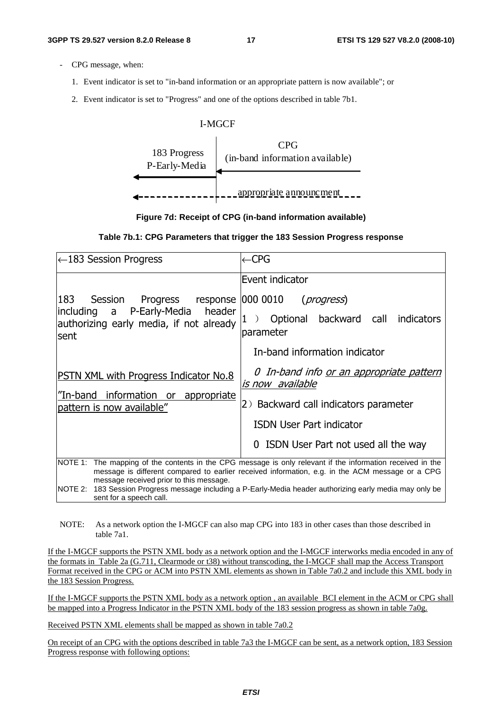- CPG message, when:
	- 1. Event indicator is set to "in-band information or an appropriate pattern is now available"; or
	- 2. Event indicator is set to "Progress" and one of the options described in table 7b1.



#### **Figure 7d: Receipt of CPG (in-band information available)**

#### **Table 7b.1: CPG Parameters that trigger the 183 Session Progress response**

| $\leftarrow$ 183 Session Progress                                                                                                    | $\leftarrow$ CPG                                                                                                                                                                                              |
|--------------------------------------------------------------------------------------------------------------------------------------|---------------------------------------------------------------------------------------------------------------------------------------------------------------------------------------------------------------|
|                                                                                                                                      | Event indicator                                                                                                                                                                                               |
| 183<br>Session Progress response 000 0010 ( <i>progress</i> )                                                                        |                                                                                                                                                                                                               |
| including a P-Early-Media header<br>authorizing early media, if not already<br>sent                                                  | Optional backward call<br><b>indicators</b><br>T<br>parameter                                                                                                                                                 |
|                                                                                                                                      | In-band information indicator                                                                                                                                                                                 |
| <b>PSTN XML with Progress Indicator No.8</b>                                                                                         | 0 In-band info <u>or an appropriate pattern</u><br><u>is now available</u>                                                                                                                                    |
| "In-band information or appropriate<br>pattern is now available"                                                                     | 2) Backward call indicators parameter                                                                                                                                                                         |
|                                                                                                                                      | <b>ISDN User Part indicator</b>                                                                                                                                                                               |
|                                                                                                                                      | 0 ISDN User Part not used all the way                                                                                                                                                                         |
| message received prior to this message.                                                                                              | NOTE 1: The mapping of the contents in the CPG message is only relevant if the information received in the<br>message is different compared to earlier received information, e.g. in the ACM message or a CPG |
| NOTE 2: 183 Session Progress message including a P-Early-Media header authorizing early media may only be<br>sent for a speech call. |                                                                                                                                                                                                               |

NOTE: As a network option the I-MGCF can also map CPG into 183 in other cases than those described in table 7a1.

If the I-MGCF supports the PSTN XML body as a network option and the I-MGCF interworks media encoded in any of the formats in Table 2a (G.711, Clearmode or t38) without transcoding, the I-MGCF shall map the Access Transport Format received in the CPG or ACM into PSTN XML elements as shown in Table 7a0.2 and include this XML body in the 183 Session Progress.

If the I-MGCF supports the PSTN XML body as a network option , an available BCI element in the ACM or CPG shall be mapped into a Progress Indicator in the PSTN XML body of the 183 session progress as shown in table 7a0g.

Received PSTN XML elements shall be mapped as shown in table 7a0.2

On receipt of an CPG with the options described in table 7a3 the I-MGCF can be sent, as a network option, 183 Session Progress response with following options: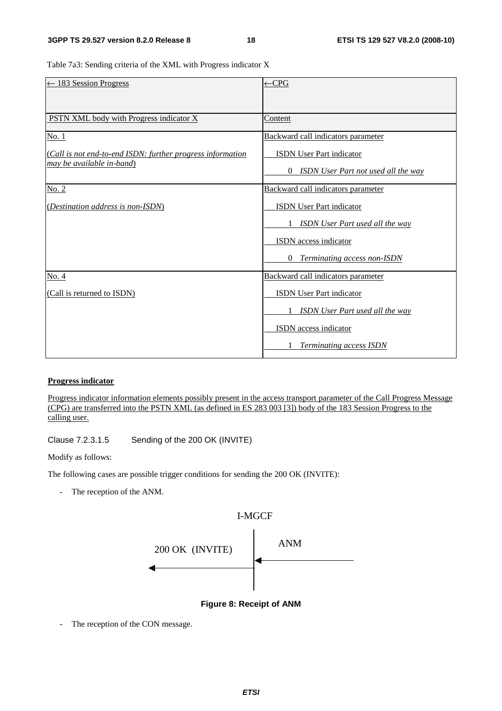Table 7a3: Sending criteria of the XML with Progress indicator X

| $\leftarrow$ 183 Session Progress                          | $\leftarrow$ CPG                                       |
|------------------------------------------------------------|--------------------------------------------------------|
|                                                            |                                                        |
|                                                            |                                                        |
| PSTN XML body with Progress indicator X                    | Content                                                |
| No. 1                                                      | Backward call indicators parameter                     |
| (Call is not end-to-end ISDN: further progress information | <b>ISDN</b> User Part indicator                        |
| may be available in-band)                                  | <b>ISDN</b> User Part not used all the way<br>$\Omega$ |
| No. 2                                                      | Backward call indicators parameter                     |
| (Destination address is non-ISDN)                          | <b>ISDN</b> User Part indicator                        |
|                                                            | <b>ISDN</b> User Part used all the way<br>1            |
|                                                            | <b>ISDN</b> access indicator                           |
|                                                            | $\theta$<br><b>Terminating access non-ISDN</b>         |
| No. 4                                                      | Backward call indicators parameter                     |
| (Call is returned to ISDN)                                 | <b>ISDN</b> User Part indicator                        |
|                                                            | <b>ISDN</b> User Part used all the way                 |
|                                                            | ISDN access indicator                                  |
|                                                            | <b>Terminating access ISDN</b>                         |

#### **Progress indicator**

Progress indicator information elements possibly present in the access transport parameter of the Call Progress Message (CPG) are transferred into the PSTN XML (as defined in ES 283 003 [3]) body of the 183 Session Progress to the calling user.

Clause 7.2.3.1.5 Sending of the 200 OK (INVITE)

Modify as follows:

The following cases are possible trigger conditions for sending the 200 OK (INVITE):

- The reception of the ANM.



**Figure 8: Receipt of ANM** 

- The reception of the CON message.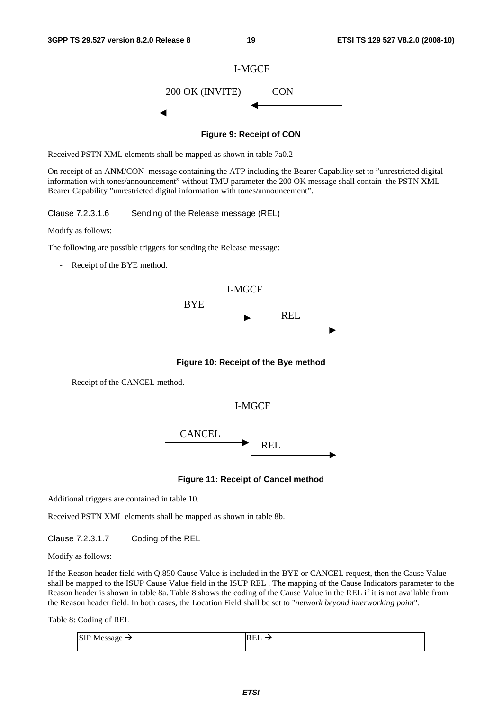

**Figure 9: Receipt of CON** 

Received PSTN XML elements shall be mapped as shown in table 7a0.2

On receipt of an ANM/CON message containing the ATP including the Bearer Capability set to "unrestricted digital information with tones/announcement" without TMU parameter the 200 OK message shall contain the PSTN XML Bearer Capability "unrestricted digital information with tones/announcement".

Clause 7.2.3.1.6 Sending of the Release message (REL)

Modify as follows:

The following are possible triggers for sending the Release message:

- Receipt of the BYE method.



**Figure 10: Receipt of the Bye method** 

Receipt of the CANCEL method.





**Figure 11: Receipt of Cancel method** 

Additional triggers are contained in table 10.

Received PSTN XML elements shall be mapped as shown in table 8b.

Clause 7.2.3.1.7 Coding of the REL

Modify as follows:

If the Reason header field with Q.850 Cause Value is included in the BYE or CANCEL request, then the Cause Value shall be mapped to the ISUP Cause Value field in the ISUP REL . The mapping of the Cause Indicators parameter to the Reason header is shown in table 8a. Table 8 shows the coding of the Cause Value in the REL if it is not available from the Reason header field. In both cases, the Location Field shall be set to "*network beyond interworking point*".

Table 8: Coding of REL

| <b>SIP</b> Message | REL<br>_ |
|--------------------|----------|
|                    |          |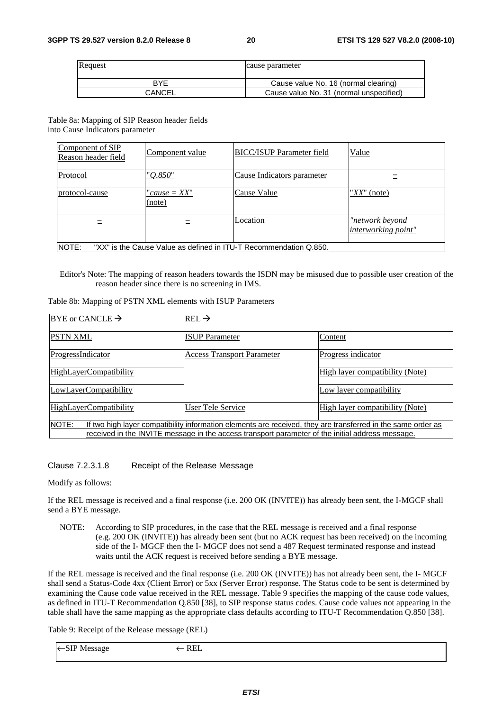| Request       | cause parameter                         |
|---------------|-----------------------------------------|
| <b>BYF</b>    | Cause value No. 16 (normal clearing)    |
| <b>CANCEL</b> | Cause value No. 31 (normal unspecified) |

Table 8a: Mapping of SIP Reason header fields into Cause Indicators parameter

| Component of SIP<br>Reason header field                                    | Component value          | <b>BICC/ISUP Parameter field</b> | Value                                         |
|----------------------------------------------------------------------------|--------------------------|----------------------------------|-----------------------------------------------|
| Protocol                                                                   | "O.850"                  | Cause Indicators parameter       |                                               |
| protocol-cause                                                             | $"cause = XX"$<br>(note) | Cause Value                      | " $XX$ " (note)                               |
|                                                                            |                          | Location                         | "network beyond<br><i>interworking point"</i> |
| NOTE:<br>"XX" is the Cause Value as defined in ITU-T Recommendation Q.850. |                          |                                  |                                               |

Editor's Note: The mapping of reason headers towards the ISDN may be misused due to possible user creation of the reason header since there is no screening in IMS.

|  |  |  | Table 8b: Mapping of PSTN XML elements with ISUP Parameters |  |
|--|--|--|-------------------------------------------------------------|--|
|--|--|--|-------------------------------------------------------------|--|

| BYE or CANCLE $\rightarrow$                                                                                                                                                                                                      | $REL \rightarrow$                 |                                 |
|----------------------------------------------------------------------------------------------------------------------------------------------------------------------------------------------------------------------------------|-----------------------------------|---------------------------------|
| <b>PSTN XML</b>                                                                                                                                                                                                                  | <b>ISUP</b> Parameter             | Content                         |
| ProgressIndicator                                                                                                                                                                                                                | <b>Access Transport Parameter</b> | Progress indicator              |
| <b>HighLayerCompatibility</b>                                                                                                                                                                                                    |                                   | High layer compatibility (Note) |
| LowLayerCompatibility                                                                                                                                                                                                            |                                   | Low layer compatibility         |
| HighLayerCompatibility                                                                                                                                                                                                           | User Tele Service                 | High layer compatibility (Note) |
| <b>NOTE:</b><br>If two high layer compatibility information elements are received, they are transferred in the same order as<br>received in the INVITE message in the access transport parameter of the initial address message. |                                   |                                 |

Clause 7.2.3.1.8 Receipt of the Release Message

Modify as follows:

If the REL message is received and a final response (i.e. 200 OK (INVITE)) has already been sent, the I-MGCF shall send a BYE message.

NOTE: According to SIP procedures, in the case that the REL message is received and a final response (e.g. 200 OK (INVITE)) has already been sent (but no ACK request has been received) on the incoming side of the I- MGCF then the I- MGCF does not send a 487 Request terminated response and instead waits until the ACK request is received before sending a BYE message.

If the REL message is received and the final response (i.e. 200 OK (INVITE)) has not already been sent, the I- MGCF shall send a Status-Code 4xx (Client Error) or 5xx (Server Error) response. The Status code to be sent is determined by examining the Cause code value received in the REL message. Table 9 specifies the mapping of the cause code values, as defined in ITU-T Recommendation Q.850 [38], to SIP response status codes. Cause code values not appearing in the table shall have the same mapping as the appropriate class defaults according to ITU-T Recommendation Q.850 [38].

Table 9: Receipt of the Release message (REL)

| . .<br>``<br>-SIF Message<br>. .<br>- | <br>w |
|---------------------------------------|-------|
|                                       |       |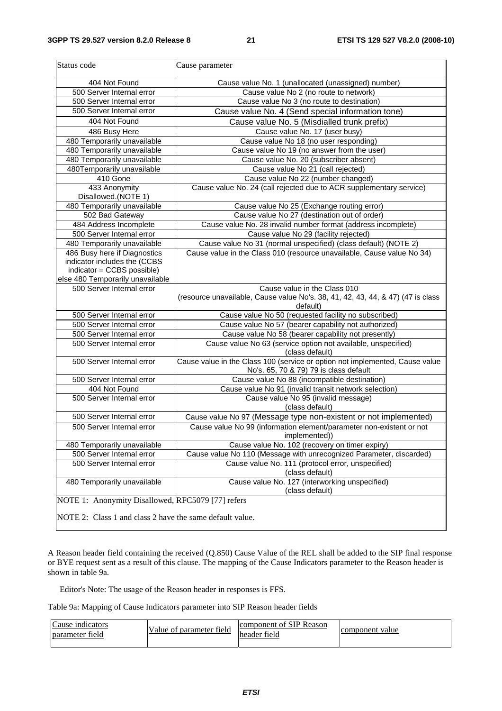| Status code                                                                                                   | Cause parameter                                                                                                        |  |
|---------------------------------------------------------------------------------------------------------------|------------------------------------------------------------------------------------------------------------------------|--|
| 404 Not Found                                                                                                 | Cause value No. 1 (unallocated (unassigned) number)                                                                    |  |
| 500 Server Internal error                                                                                     | Cause value No 2 (no route to network)                                                                                 |  |
| 500 Server Internal error                                                                                     | Cause value No 3 (no route to destination)                                                                             |  |
| 500 Server Internal error                                                                                     | Cause value No. 4 (Send special information tone)                                                                      |  |
| 404 Not Found                                                                                                 | Cause value No. 5 (Misdialled trunk prefix)                                                                            |  |
| 486 Busy Here                                                                                                 | Cause value No. 17 (user busy)                                                                                         |  |
| 480 Temporarily unavailable                                                                                   | Cause value No 18 (no user responding)                                                                                 |  |
| 480 Temporarily unavailable                                                                                   | Cause value No 19 (no answer from the user)                                                                            |  |
| 480 Temporarily unavailable                                                                                   | Cause value No. 20 (subscriber absent)                                                                                 |  |
| 480Temporarily unavailable                                                                                    | Cause value No 21 (call rejected)                                                                                      |  |
| $\overline{41}0$ Gone                                                                                         | Cause value No 22 (number changed)                                                                                     |  |
| 433 Anonymity<br>Disallowed.(NOTE 1)                                                                          | Cause value No. 24 (call rejected due to ACR supplementary service)                                                    |  |
| 480 Temporarily unavailable                                                                                   | Cause value No 25 (Exchange routing error)                                                                             |  |
| 502 Bad Gateway                                                                                               | Cause value No 27 (destination out of order)                                                                           |  |
| 484 Address Incomplete                                                                                        | Cause value No. 28 invalid number format (address incomplete)                                                          |  |
| 500 Server Internal error                                                                                     | Cause value No 29 (facility rejected)                                                                                  |  |
| 480 Temporarily unavailable                                                                                   | Cause value No 31 (normal unspecified) (class default) (NOTE 2)                                                        |  |
| 486 Busy here if Diagnostics                                                                                  | Cause value in the Class 010 (resource unavailable, Cause value No 34)                                                 |  |
| indicator includes the (CCBS                                                                                  |                                                                                                                        |  |
| indicator = CCBS possible)<br>else 480 Temporarily unavailable                                                |                                                                                                                        |  |
| 500 Server Internal error                                                                                     | Cause value in the Class 010                                                                                           |  |
|                                                                                                               | (resource unavailable, Cause value No's. 38, 41, 42, 43, 44, & 47) (47 is class<br>default)                            |  |
| 500 Server Internal error                                                                                     | Cause value No 50 (requested facility no subscribed)                                                                   |  |
| 500 Server Internal error                                                                                     | Cause value No 57 (bearer capability not authorized)                                                                   |  |
| 500 Server Internal error                                                                                     | Cause value No 58 (bearer capability not presently)                                                                    |  |
| 500 Server Internal error                                                                                     | Cause value No 63 (service option not available, unspecified)<br>(class default)                                       |  |
| 500 Server Internal error                                                                                     | Cause value in the Class 100 (service or option not implemented, Cause value<br>No's. 65, 70 & 79) 79 is class default |  |
| 500 Server Internal error                                                                                     | Cause value No 88 (incompatible destination)                                                                           |  |
| 404 Not Found                                                                                                 | Cause value No 91 (invalid transit network selection)                                                                  |  |
| 500 Server Internal error                                                                                     | Cause value No 95 (invalid message)<br>(class default)                                                                 |  |
| 500 Server Internal error                                                                                     | Cause value No 97 (Message type non-existent or not implemented)                                                       |  |
| 500 Server Internal error                                                                                     | Cause value No 99 (information element/parameter non-existent or not<br>implemented))                                  |  |
| 480 Temporarily unavailable                                                                                   | Cause value No. 102 (recovery on timer expiry)                                                                         |  |
| 500 Server Internal error                                                                                     | Cause value No 110 (Message with unrecognized Parameter, discarded)                                                    |  |
| 500 Server Internal error                                                                                     | Cause value No. 111 (protocol error, unspecified)<br>(class default)                                                   |  |
| 480 Temporarily unavailable                                                                                   | Cause value No. 127 (interworking unspecified)                                                                         |  |
|                                                                                                               | (class default)                                                                                                        |  |
| NOTE 1: Anonymity Disallowed, RFC5079 [77] refers<br>NOTE 2: Class 1 and class 2 have the same default value. |                                                                                                                        |  |

A Reason header field containing the received (Q.850) Cause Value of the REL shall be added to the SIP final response or BYE request sent as a result of this clause. The mapping of the Cause Indicators parameter to the Reason header is shown in table 9a.

Editor's Note: The usage of the Reason header in responses is FFS.

 $\mathsf{l}$ 

Table 9a: Mapping of Cause Indicators parameter into SIP Reason header fields

| $\mathsf{C}$<br>Cause indicators<br>field<br><b>parameter</b> | $\sim$<br>. .<br>value $\epsilon$<br>parameter field<br>ОI | $\iota$ of SIP $^{\circ}$<br>Reason<br>component<br>$\sim$<br>header field | component value |
|---------------------------------------------------------------|------------------------------------------------------------|----------------------------------------------------------------------------|-----------------|
|---------------------------------------------------------------|------------------------------------------------------------|----------------------------------------------------------------------------|-----------------|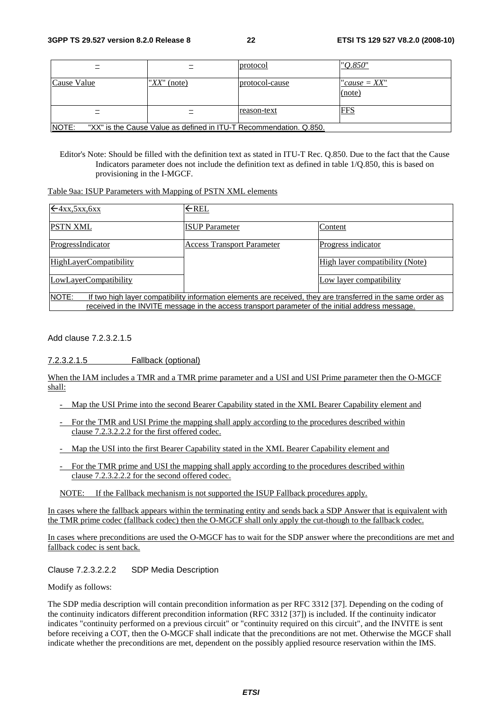|                                                                             |                 | protocol       | "O.850"                   |
|-----------------------------------------------------------------------------|-----------------|----------------|---------------------------|
| Cause Value                                                                 | " $XX$ " (note) | protocol-cause | "cause $= XX$ "<br>(note) |
|                                                                             |                 | reason-text    | <b>FFS</b>                |
| NOTE:<br>"XX" is the Cause Value as defined in ITU-T Recommendation. Q.850. |                 |                |                           |

Editor's Note: Should be filled with the definition text as stated in ITU-T Rec. Q.850. Due to the fact that the Cause Indicators parameter does not include the definition text as defined in table 1/Q.850, this is based on provisioning in the I-MGCF.

Table 9aa: ISUP Parameters with Mapping of PSTN XML elements

| $\leftarrow$ 4xx, 5xx, 6xx                                                                                                   | $\leftarrow$ REL                  |                                 |
|------------------------------------------------------------------------------------------------------------------------------|-----------------------------------|---------------------------------|
| <b>PSTN XML</b>                                                                                                              | <b>ISUP Parameter</b>             | Content                         |
| ProgressIndicator                                                                                                            | <b>Access Transport Parameter</b> | Progress indicator              |
| HighLayerCompatibility                                                                                                       |                                   | High layer compatibility (Note) |
| LowLayerCompatibility                                                                                                        |                                   | Low layer compatibility         |
| <b>NOTE:</b><br>If two high layer compatibility information elements are received, they are transferred in the same order as |                                   |                                 |
| received in the INVITE message in the access transport parameter of the initial address message.                             |                                   |                                 |

Add clause 7.2.3.2.1.5

#### 7.2.3.2.1.5 Fallback (optional)

When the IAM includes a TMR and a TMR prime parameter and a USI and USI Prime parameter then the O-MGCF shall:

- Map the USI Prime into the second Bearer Capability stated in the XML Bearer Capability element and
- For the TMR and USI Prime the mapping shall apply according to the procedures described within clause 7.2.3.2.2.2 for the first offered codec.
- Map the USI into the first Bearer Capability stated in the XML Bearer Capability element and
- For the TMR prime and USI the mapping shall apply according to the procedures described within clause 7.2.3.2.2.2 for the second offered codec.

NOTE: If the Fallback mechanism is not supported the ISUP Fallback procedures apply.

In cases where the fallback appears within the terminating entity and sends back a SDP Answer that is equivalent with the TMR prime codec (fallback codec) then the O-MGCF shall only apply the cut-though to the fallback codec.

In cases where preconditions are used the O-MGCF has to wait for the SDP answer where the preconditions are met and fallback codec is sent back.

#### Clause 7.2.3.2.2.2 SDP Media Description

Modify as follows:

The SDP media description will contain precondition information as per RFC 3312 [37]. Depending on the coding of the continuity indicators different precondition information (RFC 3312 [37]) is included. If the continuity indicator indicates "continuity performed on a previous circuit" or "continuity required on this circuit", and the INVITE is sent before receiving a COT, then the O-MGCF shall indicate that the preconditions are not met. Otherwise the MGCF shall indicate whether the preconditions are met, dependent on the possibly applied resource reservation within the IMS.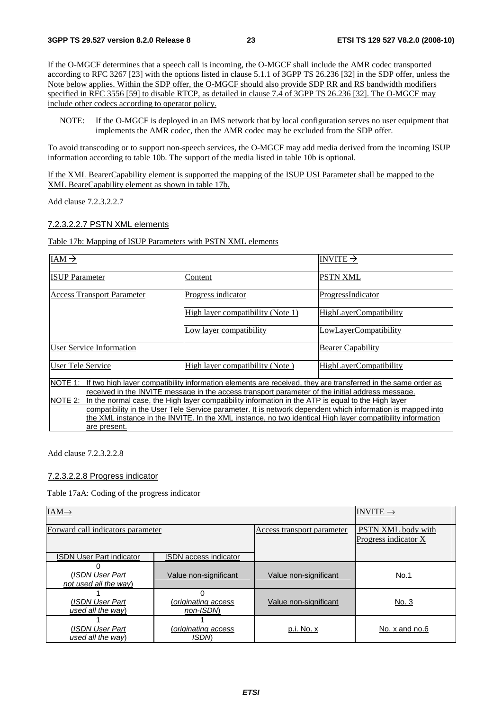If the O-MGCF determines that a speech call is incoming, the O-MGCF shall include the AMR codec transported according to RFC 3267 [23] with the options listed in clause 5.1.1 of 3GPP TS 26.236 [32] in the SDP offer, unless the Note below applies. Within the SDP offer, the O-MGCF should also provide SDP RR and RS bandwidth modifiers specified in RFC 3556 [59] to disable RTCP, as detailed in clause 7.4 of 3GPP TS 26.236 [32]. The O-MGCF may include other codecs according to operator policy.

NOTE: If the O-MGCF is deployed in an IMS network that by local configuration serves no user equipment that implements the AMR codec, then the AMR codec may be excluded from the SDP offer.

To avoid transcoding or to support non-speech services, the O-MGCF may add media derived from the incoming ISUP information according to table 10b. The support of the media listed in table 10b is optional.

If the XML BearerCapability element is supported the mapping of the ISUP USI Parameter shall be mapped to the XML BeareCapability element as shown in table 17b.

Add clause 7.2.3.2.2.7

#### 7.2.3.2.2.7 PSTN XML elements

#### Table 17b: Mapping of ISUP Parameters with PSTN XML elements

| IAM $\rightarrow$                                                                                             |                                                                                                              | INVITE $\rightarrow$          |
|---------------------------------------------------------------------------------------------------------------|--------------------------------------------------------------------------------------------------------------|-------------------------------|
| <b>ISUP</b> Parameter                                                                                         | Content                                                                                                      | <b>PSTN XML</b>               |
| <b>Access Transport Parameter</b>                                                                             | Progress indicator                                                                                           | ProgressIndicator             |
|                                                                                                               | High layer compatibility (Note 1)                                                                            | <b>HighLayerCompatibility</b> |
|                                                                                                               | Low layer compatibility                                                                                      | LowLayerCompatibility         |
| User Service Information                                                                                      |                                                                                                              | <b>Bearer Capability</b>      |
| User Tele Service                                                                                             | High layer compatibility (Note)                                                                              | <b>HighLayerCompatibility</b> |
| NOTE 1:                                                                                                       | If two high layer compatibility information elements are received, they are transferred in the same order as |                               |
|                                                                                                               | received in the INVITE message in the access transport parameter of the initial address message.             |                               |
| NOTE 2:<br>In the normal case, the High layer compatibility information in the ATP is equal to the High layer |                                                                                                              |                               |
| compatibility in the User Tele Service parameter. It is network dependent which information is mapped into    |                                                                                                              |                               |
| the XML instance in the INVITE. In the XML instance, no two identical High layer compatibility information    |                                                                                                              |                               |
| are present.                                                                                                  |                                                                                                              |                               |

Add clause 7.2.3.2.2.8

#### 7.2.3.2.2.8 Progress indicator

#### Table 17aA: Coding of the progress indicator

| $IAM\rightarrow$                         |                                    |                            | INVITE $\rightarrow$                       |
|------------------------------------------|------------------------------------|----------------------------|--------------------------------------------|
| Forward call indicators parameter        |                                    | Access transport parameter | PSTN XML body with<br>Progress indicator X |
| <b>ISDN User Part indicator</b>          | <b>ISDN</b> access indicator       |                            |                                            |
| (ISDN User Part)<br>not used all the way | Value non-significant              | Value non-significant      | No.1                                       |
| (ISDN User Part<br>used all the way)     | originating access)<br>non-ISDN    | Value non-significant      | No. 3                                      |
| (ISDN User Part<br>used all the way)     | (originating access<br><b>ISDM</b> | p.i. No. x                 | No. x and no.6                             |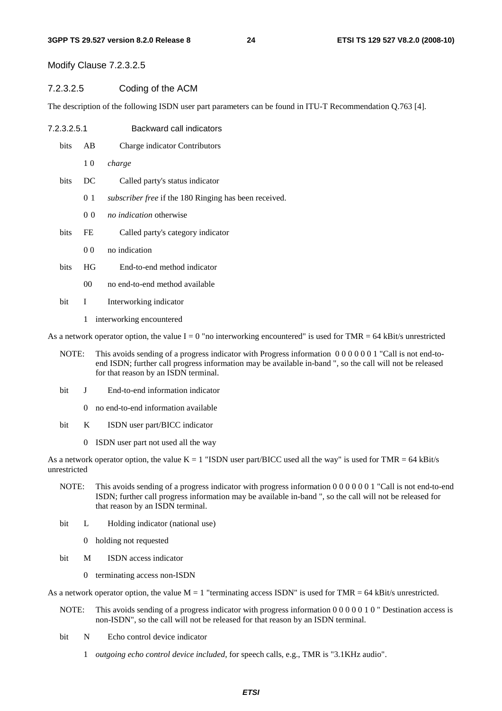Modify Clause 7.2.3.2.5

#### 7.2.3.2.5 Coding of the ACM

The description of the following ISDN user part parameters can be found in ITU-T Recommendation Q.763 [4].

- 7.2.3.2.5.1 Backward call indicators
	- bits AB Charge indicator Contributors
		- 1 0 *charge*
	- bits DC Called party's status indicator
		- 01 *subscriber free* if the 180 Ringing has been received.
		- 00 *no indication* otherwise
	- bits FE Called party's category indicator
		- 0.0 no indication
	- bits HG End-to-end method indicator
		- 00 no end-to-end method available
	- bit I Interworking indicator
		- 1 interworking encountered

As a network operator option, the value  $I = 0$  "no interworking encountered" is used for TMR = 64 kBit/s unrestricted

- NOTE: This avoids sending of a progress indicator with Progress information 0 0 0 0 0 0 1 "Call is not end-toend ISDN; further call progress information may be available in-band ", so the call will not be released for that reason by an ISDN terminal.
- bit J End-to-end information indicator
	- 0 no end-to-end information available
- bit K ISDN user part/BICC indicator
	- 0 ISDN user part not used all the way

As a network operator option, the value  $K = 1$  "ISDN user part/BICC used all the way" is used for TMR = 64 kBit/s unrestricted

- NOTE: This avoids sending of a progress indicator with progress information 0 0 0 0 0 0 1 "Call is not end-to-end ISDN; further call progress information may be available in-band ", so the call will not be released for that reason by an ISDN terminal.
- bit L Holding indicator (national use)
	- 0 holding not requested
- bit M ISDN access indicator
	- 0 terminating access non-ISDN

As a network operator option, the value  $M = 1$  "terminating access ISDN" is used for TMR = 64 kBit/s unrestricted.

- NOTE: This avoids sending of a progress indicator with progress information 0 0 0 0 0 0 1 0 " Destination access is non-ISDN", so the call will not be released for that reason by an ISDN terminal.
- bit N Echo control device indicator
	- 1 *outgoing echo control device included*, for speech calls, e.g., TMR is "3.1KHz audio".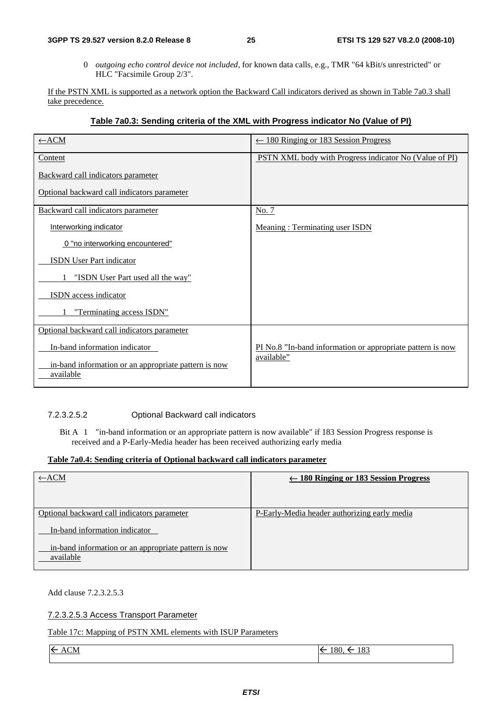0 *outgoing echo control device not included*, for known data calls, e.g., TMR "64 kBit/s unrestricted" or HLC "Facsimile Group 2/3".

If the PSTN XML is supported as a network option the Backward Call indicators derived as shown in Table 7a0.3 shall take precedence.

#### **Table 7a0.3: Sending criteria of the XML with Progress indicator No (Value of PI)**

| $\leftarrow$ ACM                                                  | $\leftarrow$ 180 Ringing or 183 Session Progress           |
|-------------------------------------------------------------------|------------------------------------------------------------|
| Content                                                           | PSTN XML body with Progress indicator No (Value of PI)     |
| Backward call indicators parameter                                |                                                            |
| Optional backward call indicators parameter                       |                                                            |
| Backward call indicators parameter                                | No. 7                                                      |
| Interworking indicator                                            | <b>Meaning: Terminating user ISDN</b>                      |
| 0 "no interworking encountered"                                   |                                                            |
| <b>ISDN</b> User Part indicator                                   |                                                            |
| "ISDN User Part used all the way"                                 |                                                            |
| <b>ISDN</b> access indicator                                      |                                                            |
| "Terminating access ISDN"                                         |                                                            |
| Optional backward call indicators parameter                       |                                                            |
| In-band information indicator                                     | PI No.8 "In-band information or appropriate pattern is now |
| in-band information or an appropriate pattern is now<br>available | available"                                                 |

#### 7.2.3.2.5.2 Optional Backward call indicators

Bit A 1 "in-band information or an appropriate pattern is now available" if 183 Session Progress response is received and a P-Early-Media header has been received authorizing early media

#### **Table 7a0.4: Sending criteria of Optional backward call indicators parameter**

| $\leftarrow$ ACM                                                  | $\leftarrow$ 180 Ringing or 183 Session Progress |
|-------------------------------------------------------------------|--------------------------------------------------|
| Optional backward call indicators parameter                       | P-Early-Media header authorizing early media     |
| In-band information indicator                                     |                                                  |
| in-band information or an appropriate pattern is now<br>available |                                                  |

Add clause 7.2.3.2.5.3

7.2.3.2.5.3 Access Transport Parameter

Table 17c: Mapping of PSTN XML elements with ISUP Parameters

 $\leftarrow$  ACM  $ACM$ 

 $180, \leq 183$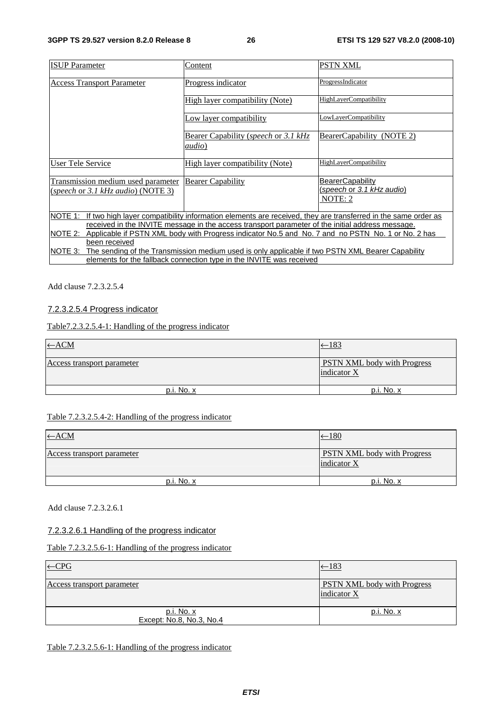| <b>ISUP</b> Parameter                                                                                                   | Content                              | <b>PSTN XML</b>               |
|-------------------------------------------------------------------------------------------------------------------------|--------------------------------------|-------------------------------|
|                                                                                                                         |                                      |                               |
| <b>Access Transport Parameter</b>                                                                                       | Progress indicator                   | ProgressIndicator             |
|                                                                                                                         |                                      |                               |
|                                                                                                                         | High layer compatibility (Note)      | <b>HighLayerCompatibility</b> |
|                                                                                                                         | Low layer compatibility              | LowLayerCompatibility         |
|                                                                                                                         |                                      |                               |
|                                                                                                                         | Bearer Capability (speech or 3.1 kHz | BearerCapability (NOTE 2)     |
|                                                                                                                         | <i>audio</i> )                       |                               |
| User Tele Service                                                                                                       | High layer compatibility (Note)      | <b>HighLayerCompatibility</b> |
|                                                                                                                         |                                      |                               |
| Transmission medium used parameter                                                                                      | <b>Bearer Capability</b>             | <b>BearerCapability</b>       |
| (speech or 3.1 kHz audio) (NOTE 3)                                                                                      |                                      | (speech or 3.1 kHz audio)     |
|                                                                                                                         |                                      | NOTE: 2                       |
|                                                                                                                         |                                      |                               |
| NOTE 1:<br>If two high layer compatibility information elements are received, they are transferred in the same order as |                                      |                               |
| received in the INVITE message in the access transport parameter of the initial address message.                        |                                      |                               |
| NOTE 2:<br>Applicable if PSTN XML body with Progress indicator No.5 and No. 7 and no PSTN No. 1 or No. 2 has            |                                      |                               |
| been received                                                                                                           |                                      |                               |
| NOTE 3:<br>The sending of the Transmission medium used is only applicable if two PSTN XML Bearer Capability             |                                      |                               |
| elements for the fallback connection type in the INVITE was received                                                    |                                      |                               |

Add clause 7.2.3.2.5.4

#### 7.2.3.2.5.4 Progress indicator

Table7.2.3.2.5.4-1: Handling of the progress indicator

| $\leftarrow$ ACM           | $-183$                                            |
|----------------------------|---------------------------------------------------|
| Access transport parameter | <b>PSTN XML</b> body with Progress<br>indicator X |
| $p.i. No. x$               | p.i. No. x                                        |

#### Table 7.2.3.2.5.4-2: Handling of the progress indicator

| $\leftarrow$ ACM           | $-180$                                             |
|----------------------------|----------------------------------------------------|
| Access transport parameter | <b>PSTN XML</b> body with Progress<br>lindicator X |
| p.i. No. x                 | p.i. No. x                                         |

Add clause 7.2.3.2.6.1

### 7.2.3.2.6.1 Handling of the progress indicator

Table 7.2.3.2.5.6-1: Handling of the progress indicator

| $\leftarrow$ CPG                       | $-183$                                            |
|----------------------------------------|---------------------------------------------------|
| Access transport parameter             | <b>PSTN XML</b> body with Progress<br>indicator X |
| p.i. No. x<br>Except: No.8, No.3, No.4 | p.i. No. x                                        |

Table 7.2.3.2.5.6-1: Handling of the progress indicator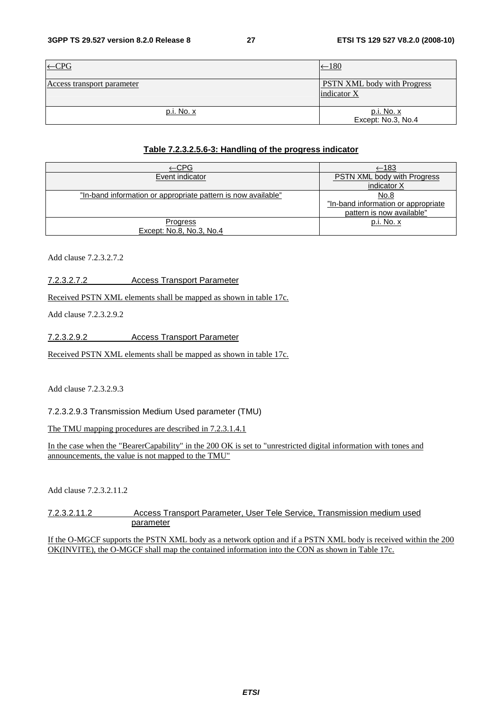| $\leftarrow$ CPG           | $-180$                                            |
|----------------------------|---------------------------------------------------|
| Access transport parameter | <b>PSTN XML</b> body with Progress<br>indicator X |
| p.i. No. x                 | p.i. No. x<br>Except: No.3, No.4                  |

#### **Table 7.2.3.2.5.6-3: Handling of the progress indicator**

| ←CPG                                                          | $\xleftarrow{183}$                  |
|---------------------------------------------------------------|-------------------------------------|
| Event indicator                                               | <b>PSTN XML body with Progress</b>  |
|                                                               | indicator X                         |
| "In-band information or appropriate pattern is now available" | No.8                                |
|                                                               | "In-band information or appropriate |
|                                                               | pattern is now available"           |
| Progress                                                      | p.i. No. x                          |
| Except: No.8, No.3, No.4                                      |                                     |

Add clause 7.2.3.2.7.2

7.2.3.2.7.2 Access Transport Parameter

Received PSTN XML elements shall be mapped as shown in table 17c.

Add clause 7.2.3.2.9.2

7.2.3.2.9.2 Access Transport Parameter

Received PSTN XML elements shall be mapped as shown in table 17c.

Add clause 7.2.3.2.9.3

7.2.3.2.9.3 Transmission Medium Used parameter (TMU)

The TMU mapping procedures are described in 7.2.3.1.4.1

In the case when the "BearerCapability" in the 200 OK is set to "unrestricted digital information with tones and announcements, the value is not mapped to the TMU"

Add clause 7.2.3.2.11.2

7.2.3.2.11.2 Access Transport Parameter, User Tele Service, Transmission medium used parameter

If the O-MGCF supports the PSTN XML body as a network option and if a PSTN XML body is received within the 200 OK(INVITE), the O-MGCF shall map the contained information into the CON as shown in Table 17c.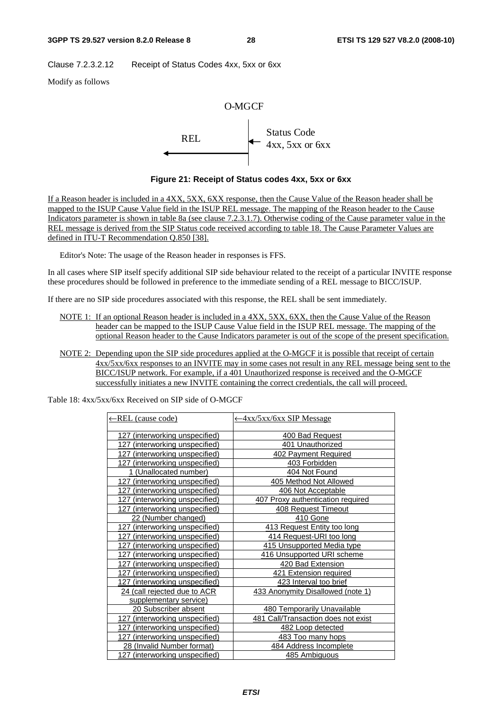Clause 7.2.3.2.12 Receipt of Status Codes 4xx, 5xx or 6xx

Modify as follows



**Figure 21: Receipt of Status codes 4xx, 5xx or 6xx** 

If a Reason header is included in a 4XX, 5XX, 6XX response, then the Cause Value of the Reason header shall be mapped to the ISUP Cause Value field in the ISUP REL message. The mapping of the Reason header to the Cause Indicators parameter is shown in table 8a (see clause 7.2.3.1.7). Otherwise coding of the Cause parameter value in the REL message is derived from the SIP Status code received according to table 18. The Cause Parameter Values are defined in ITU-T Recommendation Q.850 [38].

Editor's Note: The usage of the Reason header in responses is FFS.

In all cases where SIP itself specify additional SIP side behaviour related to the receipt of a particular INVITE response these procedures should be followed in preference to the immediate sending of a REL message to BICC/ISUP.

If there are no SIP side procedures associated with this response, the REL shall be sent immediately.

- NOTE 1: If an optional Reason header is included in a 4XX, 5XX, 6XX, then the Cause Value of the Reason header can be mapped to the ISUP Cause Value field in the ISUP REL message. The mapping of the optional Reason header to the Cause Indicators parameter is out of the scope of the present specification.
- NOTE 2: Depending upon the SIP side procedures applied at the O-MGCF it is possible that receipt of certain 4xx/5xx/6xx responses to an INVITE may in some cases not result in any REL message being sent to the BICC/ISUP network. For example, if a 401 Unauthorized response is received and the O-MGCF successfully initiates a new INVITE containing the correct credentials, the call will proceed.

Table 18: 4xx/5xx/6xx Received on SIP side of O-MGCF

| ←REL (cause code)                 | ← 4xx/5xx/6xx SIP Message           |
|-----------------------------------|-------------------------------------|
| 127 (interworking unspecified)    | 400 Bad Request                     |
| (interworking unspecified)<br>127 | 401 Unauthorized                    |
| 127 (interworking unspecified)    | 402 Payment Required                |
| 127 (interworking unspecified)    | 403 Forbidden                       |
| 1 (Unallocated number)            | 404 Not Found                       |
| 127 (interworking unspecified)    | 405 Method Not Allowed              |
| 127 (interworking unspecified)    | 406 Not Acceptable                  |
| 127 (interworking unspecified)    | 407 Proxy authentication required   |
| 127 (interworking unspecified)    | 408 Request Timeout                 |
| 22 (Number changed)               | 410 Gone                            |
| 127 (interworking unspecified)    | 413 Request Entity too long         |
| 127 (interworking unspecified)    | 414 Request-URI too long            |
| (interworking unspecified)<br>127 | 415 Unsupported Media type          |
| 127 (interworking unspecified)    | 416 Unsupported URI scheme          |
| 127 (interworking unspecified)    | 420 Bad Extension                   |
| 127 (interworking unspecified)    | 421 Extension required              |
| 127 (interworking unspecified)    | 423 Interval too brief              |
| 24 (call rejected due to ACR      | 433 Anonymity Disallowed (note 1)   |
| supplementary service)            |                                     |
| 20 Subscriber absent              | <b>480 Temporarily Unavailable</b>  |
| 127 (interworking unspecified)    | 481 Call/Transaction does not exist |
| 127 (interworking unspecified)    | 482 Loop detected                   |
| 127 (interworking unspecified)    | 483 Too many hops                   |
| 28 (Invalid Number format)        | 484 Address Incomplete              |
| 127 (interworking unspecified)    | 485 Ambiguous                       |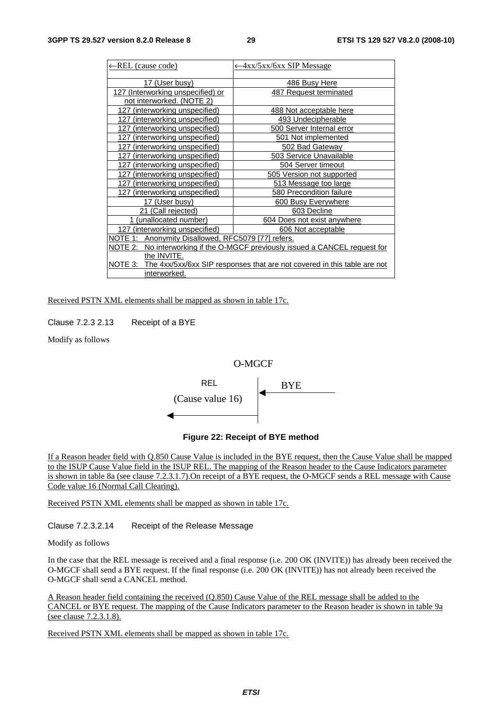| ←REL (cause code)                                  | -4xx/5xx/6xx SIP Message                                                     |
|----------------------------------------------------|------------------------------------------------------------------------------|
|                                                    |                                                                              |
| 17 (User busy)                                     | 486 Busy Here                                                                |
| 127 (Interworking unspecified) or                  | 487 Request terminated                                                       |
| not interworked. (NOTE 2)                          |                                                                              |
| 127 (interworking unspecified)                     | 488 Not acceptable here                                                      |
| 127 (interworking unspecified)                     | 493 Undecipherable                                                           |
| 127 (interworking unspecified)                     | 500 Server Internal error                                                    |
| (interworking unspecified)<br>127                  | 501 Not implemented                                                          |
| (interworking unspecified)<br>127                  | 502 Bad Gateway                                                              |
| (interworking unspecified)<br>127                  | <b>503 Service Unavailable</b>                                               |
| (interworking unspecified)<br>127                  | 504 Server timeout                                                           |
| 127 (interworking unspecified)                     | 505 Version not supported                                                    |
| (interworking unspecified)<br>127                  | 513 Message too large                                                        |
| 127 (interworking unspecified)                     | 580 Precondition failure                                                     |
| 17 (User busy)                                     | 600 Busy Everywhere                                                          |
| 21 (Call rejected)                                 | 603 Decline                                                                  |
| 1 (unallocated number)                             | 604 Does not exist anywhere                                                  |
| 127 (interworking unspecified)                     | 606 Not acceptable                                                           |
| NOTE 1: Anonymity Disallowed, RFC5079 [77] refers. |                                                                              |
|                                                    | NOTE 2: No interworking if the O-MGCF previously issued a CANCEL request for |
| the INVITE.                                        |                                                                              |
| NOTE 3:                                            | The 4xx/5xx/6xx SIP responses that are not covered in this table are not     |
| interworked.                                       |                                                                              |

Received PSTN XML elements shall be mapped as shown in table 17c.

Clause 7.2.3 2.13 Receipt of a BYE

Modify as follows

#### O-MGCF



#### **Figure 22: Receipt of BYE method**

If a Reason header field with Q.850 Cause Value is included in the BYE request, then the Cause Value shall be mapped to the ISUP Cause Value field in the ISUP REL. The mapping of the Reason header to the Cause Indicators parameter is shown in table 8a (see clause 7.2.3.1.7).On receipt of a BYE request, the O-MGCF sends a REL message with Cause Code value 16 (Normal Call Clearing).

Received PSTN XML elements shall be mapped as shown in table 17c.

Clause 7.2.3.2.14 Receipt of the Release Message

Modify as follows

In the case that the REL message is received and a final response (i.e. 200 OK (INVITE)) has already been received the O-MGCF shall send a BYE request. If the final response (i.e. 200 OK (INVITE)) has not already been received the O-MGCF shall send a CANCEL method.

A Reason header field containing the received (Q.850) Cause Value of the REL message shall be added to the CANCEL or BYE request. The mapping of the Cause Indicators parameter to the Reason header is shown in table 9a (see clause 7.2.3.1.8).

Received PSTN XML elements shall be mapped as shown in table 17c.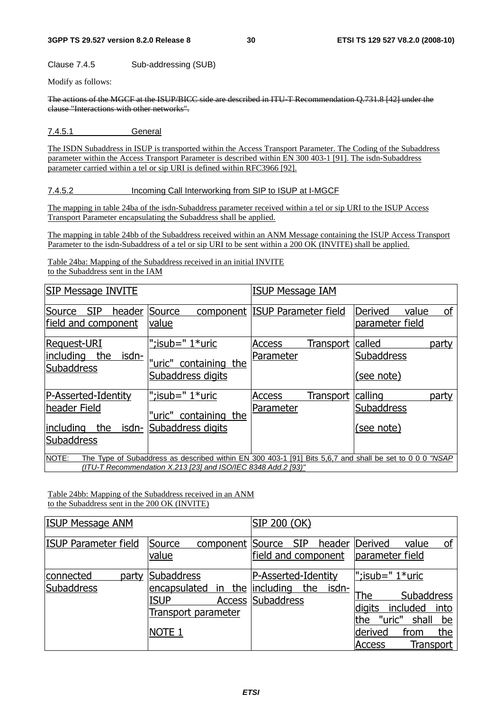Clause 7.4.5 Sub-addressing (SUB)

Modify as follows:

The actions of the MGCF at the ISUP/BICC side are described in ITU-T Recommendation Q.731.8 [42] under the clause "Interactions with other networks".

7.4.5.1 General

The ISDN Subaddress in ISUP is transported within the Access Transport Parameter. The Coding of the Subaddress parameter within the Access Transport Parameter is described within EN 300 403-1 [91]. The isdn-Subaddress parameter carried within a tel or sip URI is defined within RFC3966 [92].

#### 7.4.5.2 Incoming Call Interworking from SIP to ISUP at I-MGCF

The mapping in table 24ba of the isdn-Subaddress parameter received within a tel or sip URI to the ISUP Access Transport Parameter encapsulating the Subaddress shall be applied.

The mapping in table 24bb of the Subaddress received within an ANM Message containing the ISUP Access Transport Parameter to the isdn-Subaddress of a tel or sip URI to be sent within a 200 OK (INVITE) shall be applied.

Table 24ba: Mapping of the Subaddress received in an initial INVITE to the Subaddress sent in the IAM

| SIP Message INVITE                                                                    |                                                                                                                                                                          | <b>ISUP Message IAM</b>                 |                                              |
|---------------------------------------------------------------------------------------|--------------------------------------------------------------------------------------------------------------------------------------------------------------------------|-----------------------------------------|----------------------------------------------|
| Source<br><b>SIP</b><br>header<br>field and component                                 | Source<br>component<br>value                                                                                                                                             | <b>ISUP Parameter field</b>             | value<br>οf<br>Derived<br>parameter field    |
| <b>Request-URI</b><br>isdn-<br>including<br>the<br><b>Subaddress</b>                  | ";isub=" $1*$ uric<br>"uric" containing the<br>Subaddress digits                                                                                                         | Transport<br><b>Access</b><br>Parameter | called<br>party<br>Subaddress<br>(see note)  |
| P-Asserted-Identity<br>header Field<br>including<br>the<br>isdn-<br><b>Subaddress</b> | ";isub=" $1*$ uric<br>"uric" containing the<br>Subaddress digits                                                                                                         | Transport<br>Access<br>Parameter        | calling<br>party<br>Subaddress<br>(see note) |
| NOTE:                                                                                 | The Type of Subaddress as described within EN 300 403-1 [91] Bits 5,6,7 and shall be set to 0 0 0 "NSAP<br>(ITU-T Recommendation X.213 [23] and ISO/IEC 8348 Add.2 [93)" |                                         |                                              |

Table 24bb: Mapping of the Subaddress received in an ANM to the Subaddress sent in the 200 OK (INVITE)

| <b>ISUP Message ANM</b>          |                                                                                                               | SIP 200 (OK)                                                    |                                                                                                                                                                      |
|----------------------------------|---------------------------------------------------------------------------------------------------------------|-----------------------------------------------------------------|----------------------------------------------------------------------------------------------------------------------------------------------------------------------|
| ISUP Parameter field             | Source<br>component<br>value                                                                                  | <b>SIP</b><br>Source<br>header<br>field and component           | οf<br>Derived<br>value<br>parameter field                                                                                                                            |
| connected<br>party<br>Subaddress | Subaddress<br>encapsulated<br>the<br>in.<br><b>ISUP</b><br>Access<br>Transport parameter<br>NOTE <sub>1</sub> | P-Asserted-Identity<br>the<br>lincluding<br>isdn-<br>Subaddress | ";isub=" $1*$ uric<br>The<br><b>Subaddress</b><br>into<br>digits<br>included<br>"uric"<br>shall<br>the<br>be<br>the<br>from<br>derived<br>Transport<br><b>Access</b> |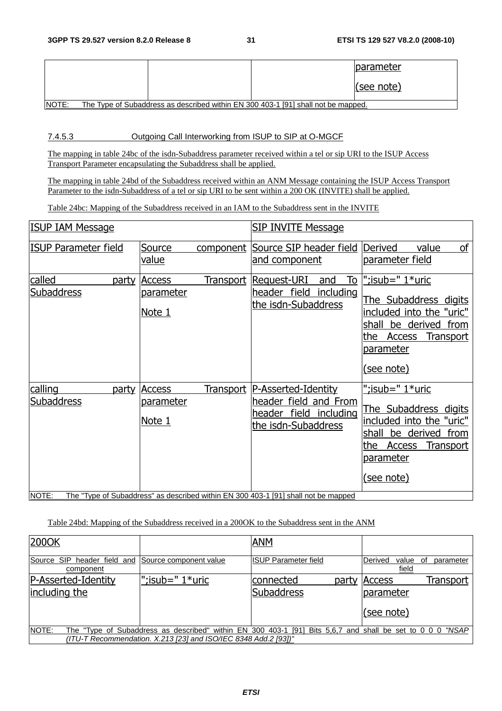|       |  |                                                                                   | <b>Iparameter</b> |
|-------|--|-----------------------------------------------------------------------------------|-------------------|
|       |  |                                                                                   | $ $ (see note)    |
| NOTE: |  | The Type of Subaddress as described within EN 300 403-1 [91] shall not be mapped. |                   |

7.4.5.3 Outgoing Call Interworking from ISUP to SIP at O-MGCF

The mapping in table 24bc of the isdn-Subaddress parameter received within a tel or sip URI to the ISUP Access Transport Parameter encapsulating the Subaddress shall be applied.

The mapping in table 24bd of the Subaddress received within an ANM Message containing the ISUP Access Transport Parameter to the isdn-Subaddress of a tel or sip URI to be sent within a 200 OK (INVITE) shall be applied.

Table 24bc: Mapping of the Subaddress received in an IAM to the Subaddress sent in the INVITE

| <b>ISUP IAM Message</b>                        |                                             |                  | <b>SIP INVITE Message</b>                                                                                                                                                              |                                                                                                                                                                                   |
|------------------------------------------------|---------------------------------------------|------------------|----------------------------------------------------------------------------------------------------------------------------------------------------------------------------------------|-----------------------------------------------------------------------------------------------------------------------------------------------------------------------------------|
| <b>ISUP Parameter field</b>                    | Source<br>value                             | component        | Source SIP header field<br>and component                                                                                                                                               | of<br><b>Derived</b><br>value<br>parameter field                                                                                                                                  |
| called<br>party<br><b>Subaddress</b>           | <b>Access</b><br><u>parameter</u><br>Note 1 | <u>Transport</u> | То<br>Request-URI<br>and<br>header field<br>including<br>the isdn-Subaddress                                                                                                           | ";isub=" 1*uric<br>The Subaddress digits<br>included into the "uric"<br>be derived<br>from<br>shall<br>the<br><b>Access</b><br><b>Transport</b><br>parameter<br><u>(see note)</u> |
| calling<br>party<br><b>Subaddress</b><br>NOTE: | <b>Access</b><br>parameter<br>Note 1        | Transport        | P-Asserted-Identity<br>header field and From<br>field including<br>header<br>the isdn-Subaddress<br>The "Type of Subaddress" as described within EN 300 403-1 [91] shall not be mapped | ";isub=" 1*uric<br>The Subaddress digits<br>included into the "uric"<br>be derived from<br>shall<br>the<br><b>Access</b><br><b>Transport</b><br>parameter<br><u>(see note)</u>    |

### Table 24bd: Mapping of the Subaddress received in a 200OK to the Subaddress sent in the ANM

| 2000K                                    |                                                                 | <b>ANM</b>                  |       |                                      |                  |
|------------------------------------------|-----------------------------------------------------------------|-----------------------------|-------|--------------------------------------|------------------|
| Source SIP header field and<br>component | Source component value                                          | <b>ISUP Parameter field</b> |       | Derived<br>value<br>field            | parameter<br>.ot |
| P-Asserted-Identity                      | ";isub=" $1$ *uric                                              | connected                   | party | <b>Access</b>                        | Transport        |
| including the                            |                                                                 | Subaddress                  |       | parameter                            |                  |
|                                          |                                                                 |                             |       | (see note)                           |                  |
| <b>NOTE:</b>                             | The "Type of Subaddress as described" within EN 300 403-1 [91]  |                             |       | Bits 5,6,7 and shall be set to 0 0 0 | "NSAP            |
|                                          | (ITU-T Recommendation. X.213 [23] and ISO/IEC 8348 Add.2 [93])" |                             |       |                                      |                  |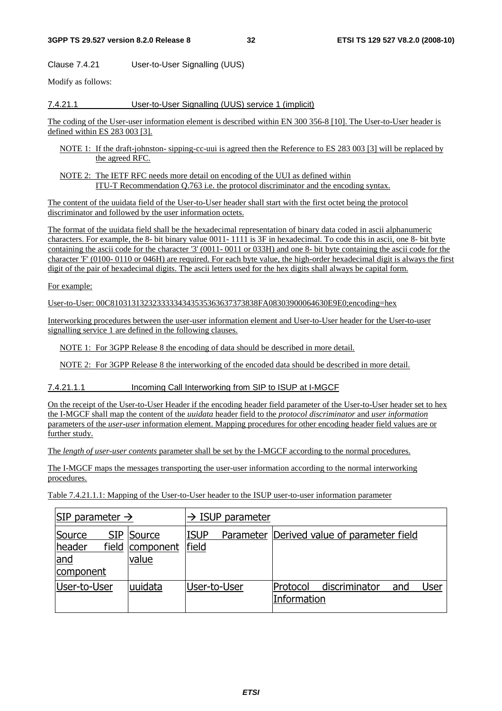Clause 7.4.21 User-to-User Signalling (UUS)

Modify as follows:

#### 7.4.21.1 User-to-User Signalling (UUS) service 1 (implicit)

The coding of the User-user information element is described within EN 300 356-8 [10]. The User-to-User header is defined within ES 283 003 [3].

- NOTE 1: If the draft-johnston- sipping-cc-uui is agreed then the Reference to ES 283 003 [3] will be replaced by the agreed RFC.
- NOTE 2: The IETF RFC needs more detail on encoding of the UUI as defined within ITU-T Recommendation Q.763 i.e. the protocol discriminator and the encoding syntax.

The content of the uuidata field of the User-to-User header shall start with the first octet being the protocol discriminator and followed by the user information octets.

The format of the uuidata field shall be the hexadecimal representation of binary data coded in ascii alphanumeric characters. For example, the 8- bit binary value 0011- 1111 is 3F in hexadecimal. To code this in ascii, one 8- bit byte containing the ascii code for the character '3' (0011- 0011 or 033H) and one 8- bit byte containing the ascii code for the character 'F' (0100- 0110 or 046H) are required. For each byte value, the high-order hexadecimal digit is always the first digit of the pair of hexadecimal digits. The ascii letters used for the hex digits shall always be capital form.

For example:

User-to-User: 00C81031313232333334343535363637373838FA08303900064630E9E0;encoding=hex

Interworking procedures between the user-user information element and User-to-User header for the User-to-user signalling service 1 are defined in the following clauses.

NOTE 1: For 3GPP Release 8 the encoding of data should be described in more detail.

NOTE 2: For 3GPP Release 8 the interworking of the encoded data should be described in more detail.

7.4.21.1.1 Incoming Call Interworking from SIP to ISUP at I-MGCF

On the receipt of the User-to-User Header if the encoding header field parameter of the User-to-User header set to hex the I-MGCF shall map the content of the *uuidata* header field to the *protocol discriminator* and *user information* parameters of the *user-user* information element. Mapping procedures for other encoding header field values are or further study.

The *length of user-user contents* parameter shall be set by the I-MGCF according to the normal procedures.

The I-MGCF maps the messages transporting the user-user information according to the normal interworking procedures.

Table 7.4.21.1.1: Mapping of the User-to-User header to the ISUP user-to-user information parameter

| SIP parameter $\rightarrow$                          |                                  | $\rightarrow$ ISUP parameter |  |                         |                                              |     |      |
|------------------------------------------------------|----------------------------------|------------------------------|--|-------------------------|----------------------------------------------|-----|------|
| Source<br><u>field</u><br>header<br>and<br>component | SIP Source<br>component<br>value | <b>ISUP</b><br>field         |  |                         | Parameter   Derived value of parameter field |     |      |
| User-to-User                                         | uuidata                          | User-to-User                 |  | Protocol<br>Information | discriminator                                | and | User |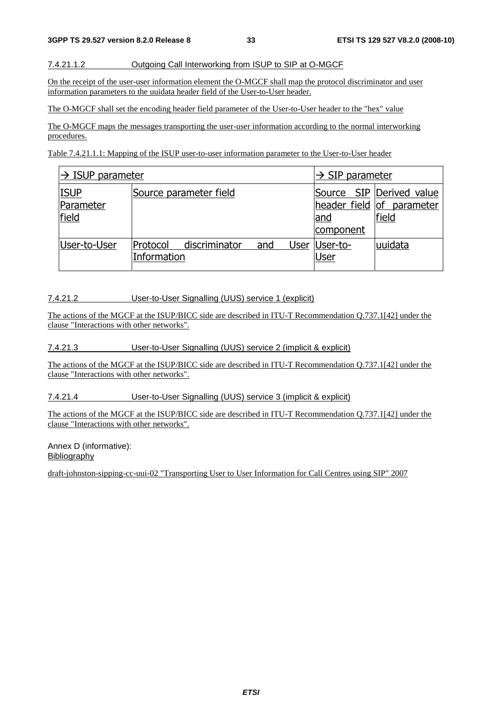#### 7.4.21.1.2 Outgoing Call Interworking from ISUP to SIP at O-MGCF

On the receipt of the user-user information element the O-MGCF shall map the protocol discriminator and user information parameters to the uuidata header field of the User-to-User header.

The O-MGCF shall set the encoding header field parameter of the User-to-User header to the "hex" value

The O-MGCF maps the messages transporting the user-user information according to the normal interworking procedures.

Table 7.4.21.1.1: Mapping of the ISUP user-to-user information parameter to the User-to-User header

| $\rightarrow$ ISUP parameter      |                         | $\rightarrow$ SIP parameter |                         |                                                                |                        |         |
|-----------------------------------|-------------------------|-----------------------------|-------------------------|----------------------------------------------------------------|------------------------|---------|
| <b>ISUP</b><br>Parameter<br>field |                         | Source parameter field      | <u>and</u><br>component | Source SIP Derived value<br>header field of parameter<br>field |                        |         |
| User-to-User                      | Protocol<br>Information | discriminator               | and                     |                                                                | User  User-to-<br>User | uuidata |

#### 7.4.21.2 User-to-User Signalling (UUS) service 1 (explicit)

The actions of the MGCF at the ISUP/BICC side are described in ITU-T Recommendation Q.737.1[42] under the clause "Interactions with other networks".

#### 7.4.21.3 User-to-User Signalling (UUS) service 2 (implicit & explicit)

The actions of the MGCF at the ISUP/BICC side are described in ITU-T Recommendation Q.737.1[42] under the clause "Interactions with other networks".

7.4.21.4 User-to-User Signalling (UUS) service 3 (implicit & explicit)

The actions of the MGCF at the ISUP/BICC side are described in ITU-T Recommendation Q.737.1[42] under the clause "Interactions with other networks".

Annex D (informative): Bibliography

draft-johnston-sipping-cc-uui-02 "Transporting User to User Information for Call Centres using SIP" 2007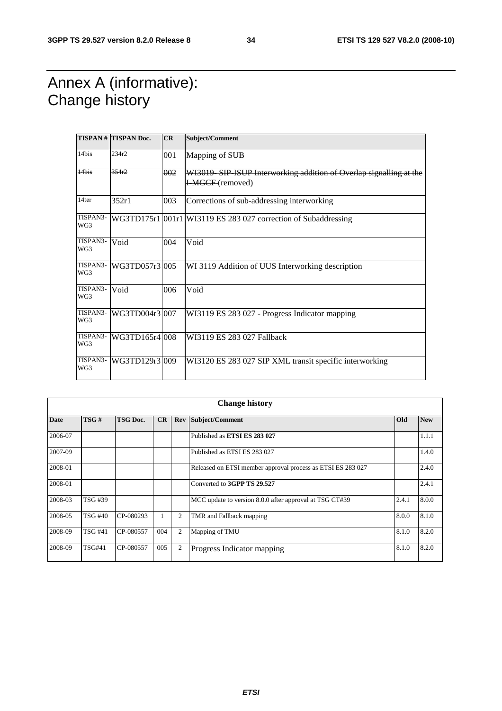### Annex A (informative): Change history

|                 | <b>TISPAN# TISPAN Doc.</b> | CR  | Subject/Comment                                                                              |
|-----------------|----------------------------|-----|----------------------------------------------------------------------------------------------|
| 14bis           | 234r2                      | 001 | Mapping of SUB                                                                               |
| 14bis           | 354r2                      | 002 | WI3019 SIP ISUP Interworking addition of Overlap signalling at the<br><b>HMGCF</b> (removed) |
| 14ter           | 352r1                      | 003 | Corrections of sub-addressing interworking                                                   |
| TISPAN3-<br>WG3 |                            |     | WG3TD175r1 001r1 WI3119 ES 283 027 correction of Subaddressing                               |
| TISPAN3-<br>WG3 | Void                       | 004 | Void                                                                                         |
| TISPAN3-<br>WG3 | WG3TD057r3 005             |     | WI 3119 Addition of UUS Interworking description                                             |
| TISPAN3-<br>WG3 | Void                       | 006 | Void                                                                                         |
| TISPAN3-<br>WG3 | WG3TD004r3 007             |     | WI3119 ES 283 027 - Progress Indicator mapping                                               |
| TISPAN3-<br>WG3 | WG3TD165r4 008             |     | WI3119 ES 283 027 Fallback                                                                   |
| TISPAN3-<br>WG3 | WG3TD129r3 009             |     | WI3120 ES 283 027 SIP XML transit specific interworking                                      |

|             | <b>Change history</b> |                 |     |     |                                                             |       |            |  |
|-------------|-----------------------|-----------------|-----|-----|-------------------------------------------------------------|-------|------------|--|
| <b>Date</b> | TSG#                  | <b>TSG Doc.</b> | CR  | Rev | Subject/Comment                                             | Old   | <b>New</b> |  |
| 2006-07     |                       |                 |     |     | Published as ETSI ES 283 027                                |       | 1.1.1      |  |
| 2007-09     |                       |                 |     |     | Published as ETSI ES 283 027                                |       | 1.4.0      |  |
| 2008-01     |                       |                 |     |     | Released on ETSI member approval process as ETSI ES 283 027 |       | 2.4.0      |  |
| 2008-01     |                       |                 |     |     | Converted to 3GPP TS 29.527                                 |       | 2.4.1      |  |
| 2008-03     | TSG #39               |                 |     |     | MCC update to version 8.0.0 after approval at TSG CT#39     | 2.4.1 | 8.0.0      |  |
| 2008-05     | TSG #40               | CP-080293       |     | 2   | TMR and Fallback mapping                                    | 8.0.0 | 8.1.0      |  |
| 2008-09     | <b>TSG #41</b>        | CP-080557       | 004 | 2   | Mapping of TMU                                              | 8.1.0 | 8.2.0      |  |
| 2008-09     | <b>TSG#41</b>         | CP-080557       | 005 | 2   | Progress Indicator mapping                                  | 8.1.0 | 8.2.0      |  |